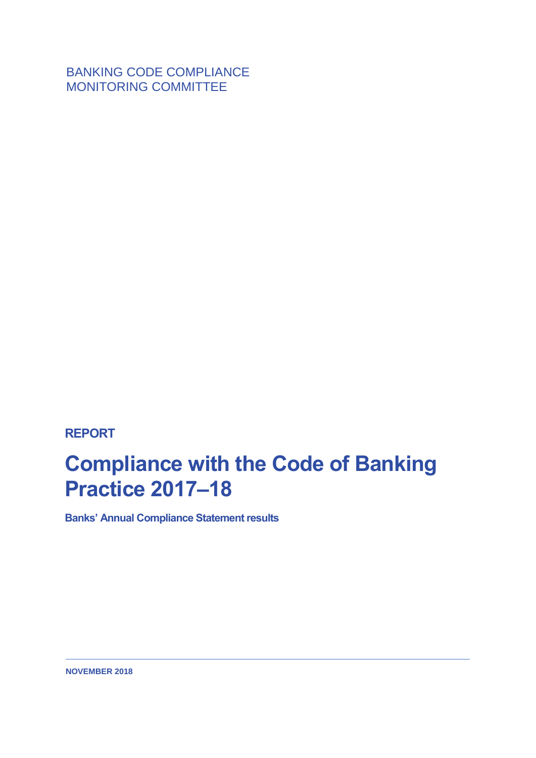BANKING CODE COMPLIANCE MONITORING COMMITTEE

**REPORT**

## **Compliance with the Code of Banking Practice 2017–18**

**Banks' Annual Compliance Statement results**

**NOVEMBER 2018**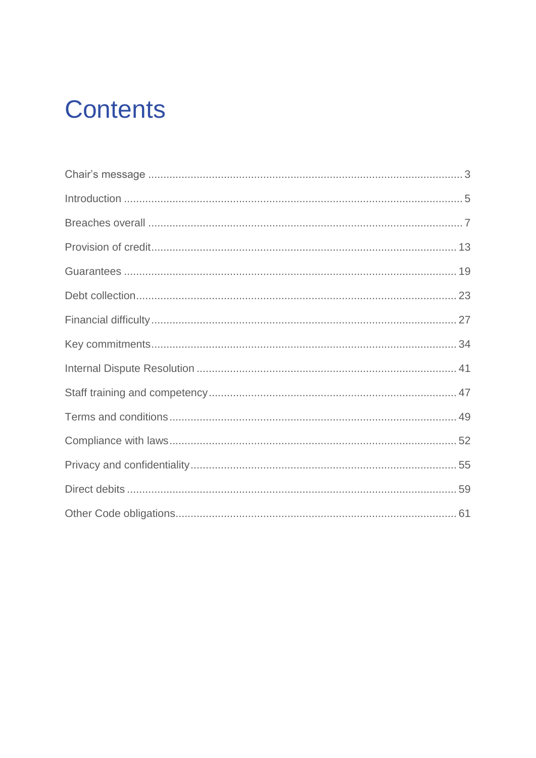## **Contents**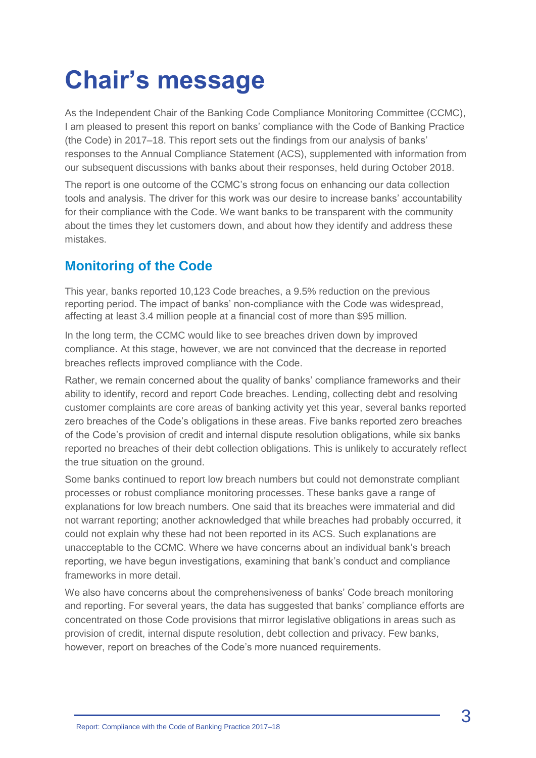## <span id="page-2-0"></span>**Chair's message**

As the Independent Chair of the Banking Code Compliance Monitoring Committee (CCMC), I am pleased to present this report on banks' compliance with the Code of Banking Practice (the Code) in 2017–18. This report sets out the findings from our analysis of banks' responses to the Annual Compliance Statement (ACS), supplemented with information from our subsequent discussions with banks about their responses, held during October 2018.

The report is one outcome of the CCMC's strong focus on enhancing our data collection tools and analysis. The driver for this work was our desire to increase banks' accountability for their compliance with the Code. We want banks to be transparent with the community about the times they let customers down, and about how they identify and address these mistakes.

## **Monitoring of the Code**

This year, banks reported 10,123 Code breaches, a 9.5% reduction on the previous reporting period. The impact of banks' non-compliance with the Code was widespread, affecting at least 3.4 million people at a financial cost of more than \$95 million.

In the long term, the CCMC would like to see breaches driven down by improved compliance. At this stage, however, we are not convinced that the decrease in reported breaches reflects improved compliance with the Code.

Rather, we remain concerned about the quality of banks' compliance frameworks and their ability to identify, record and report Code breaches. Lending, collecting debt and resolving customer complaints are core areas of banking activity yet this year, several banks reported zero breaches of the Code's obligations in these areas. Five banks reported zero breaches of the Code's provision of credit and internal dispute resolution obligations, while six banks reported no breaches of their debt collection obligations. This is unlikely to accurately reflect the true situation on the ground.

Some banks continued to report low breach numbers but could not demonstrate compliant processes or robust compliance monitoring processes. These banks gave a range of explanations for low breach numbers. One said that its breaches were immaterial and did not warrant reporting; another acknowledged that while breaches had probably occurred, it could not explain why these had not been reported in its ACS. Such explanations are unacceptable to the CCMC. Where we have concerns about an individual bank's breach reporting, we have begun investigations, examining that bank's conduct and compliance frameworks in more detail.

We also have concerns about the comprehensiveness of banks' Code breach monitoring and reporting. For several years, the data has suggested that banks' compliance efforts are concentrated on those Code provisions that mirror legislative obligations in areas such as provision of credit, internal dispute resolution, debt collection and privacy. Few banks, however, report on breaches of the Code's more nuanced requirements.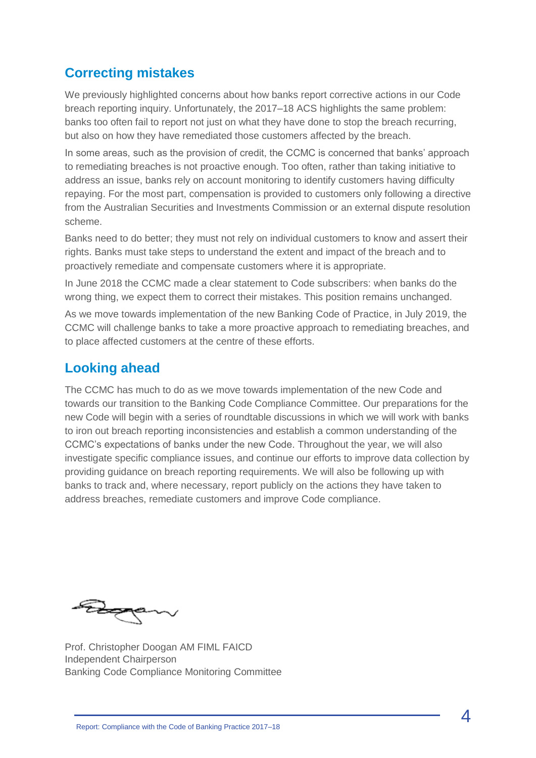### **Correcting mistakes**

We previously highlighted concerns about how banks report corrective actions in our Code breach reporting inquiry. Unfortunately, the 2017–18 ACS highlights the same problem: banks too often fail to report not just on what they have done to stop the breach recurring, but also on how they have remediated those customers affected by the breach.

In some areas, such as the provision of credit, the CCMC is concerned that banks' approach to remediating breaches is not proactive enough. Too often, rather than taking initiative to address an issue, banks rely on account monitoring to identify customers having difficulty repaying. For the most part, compensation is provided to customers only following a directive from the Australian Securities and Investments Commission or an external dispute resolution scheme.

Banks need to do better; they must not rely on individual customers to know and assert their rights. Banks must take steps to understand the extent and impact of the breach and to proactively remediate and compensate customers where it is appropriate.

In June 2018 the CCMC made a clear statement to Code subscribers: when banks do the wrong thing, we expect them to correct their mistakes. This position remains unchanged.

As we move towards implementation of the new Banking Code of Practice, in July 2019, the CCMC will challenge banks to take a more proactive approach to remediating breaches, and to place affected customers at the centre of these efforts.

#### **Looking ahead**

The CCMC has much to do as we move towards implementation of the new Code and towards our transition to the Banking Code Compliance Committee. Our preparations for the new Code will begin with a series of roundtable discussions in which we will work with banks to iron out breach reporting inconsistencies and establish a common understanding of the CCMC's expectations of banks under the new Code. Throughout the year, we will also investigate specific compliance issues, and continue our efforts to improve data collection by providing guidance on breach reporting requirements. We will also be following up with banks to track and, where necessary, report publicly on the actions they have taken to address breaches, remediate customers and improve Code compliance.

Royald

Prof. Christopher Doogan AM FIML FAICD Independent Chairperson Banking Code Compliance Monitoring Committee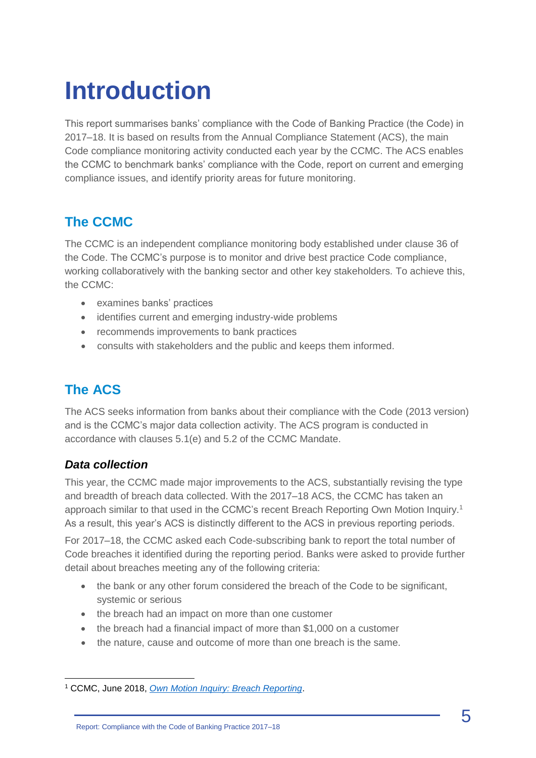## <span id="page-4-0"></span>**Introduction**

This report summarises banks' compliance with the Code of Banking Practice (the Code) in 2017–18. It is based on results from the Annual Compliance Statement (ACS), the main Code compliance monitoring activity conducted each year by the CCMC. The ACS enables the CCMC to benchmark banks' compliance with the Code, report on current and emerging compliance issues, and identify priority areas for future monitoring.

## **The CCMC**

The CCMC is an independent compliance monitoring body established under clause 36 of the Code. The CCMC's purpose is to monitor and drive best practice Code compliance, working collaboratively with the banking sector and other key stakeholders. To achieve this, the CCMC:

- examines banks' practices
- identifies current and emerging industry-wide problems
- recommends improvements to bank practices
- consults with stakeholders and the public and keeps them informed.

## **The ACS**

The ACS seeks information from banks about their compliance with the Code (2013 version) and is the CCMC's major data collection activity. The ACS program is conducted in accordance with clauses 5.1(e) and 5.2 of the CCMC Mandate.

#### *Data collection*

This year, the CCMC made major improvements to the ACS, substantially revising the type and breadth of breach data collected. With the 2017–18 ACS, the CCMC has taken an approach similar to that used in the CCMC's recent Breach Reporting Own Motion Inquiry.<sup>1</sup> As a result, this year's ACS is distinctly different to the ACS in previous reporting periods.

For 2017–18, the CCMC asked each Code-subscribing bank to report the total number of Code breaches it identified during the reporting period. Banks were asked to provide further detail about breaches meeting any of the following criteria:

- the bank or any other forum considered the breach of the Code to be significant, systemic or serious
- the breach had an impact on more than one customer
- the breach had a financial impact of more than \$1,000 on a customer
- the nature, cause and outcome of more than one breach is the same.

<sup>1</sup> CCMC, June 2018, *[Own Motion Inquiry: Breach Reporting](http://www.ccmc.org.au/cms/wp-content/uploads/2018/06/CCMC-Inquiry-Report-Breach-Reporting-June-2018.pdf)*.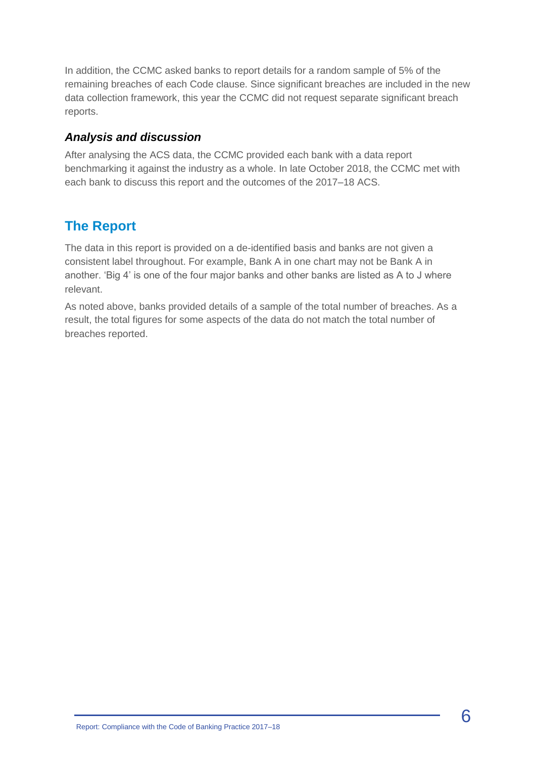In addition, the CCMC asked banks to report details for a random sample of 5% of the remaining breaches of each Code clause. Since significant breaches are included in the new data collection framework, this year the CCMC did not request separate significant breach reports.

#### *Analysis and discussion*

After analysing the ACS data, the CCMC provided each bank with a data report benchmarking it against the industry as a whole. In late October 2018, the CCMC met with each bank to discuss this report and the outcomes of the 2017–18 ACS.

### **The Report**

The data in this report is provided on a de-identified basis and banks are not given a consistent label throughout. For example, Bank A in one chart may not be Bank A in another. 'Big 4' is one of the four major banks and other banks are listed as A to J where relevant.

As noted above, banks provided details of a sample of the total number of breaches. As a result, the total figures for some aspects of the data do not match the total number of breaches reported.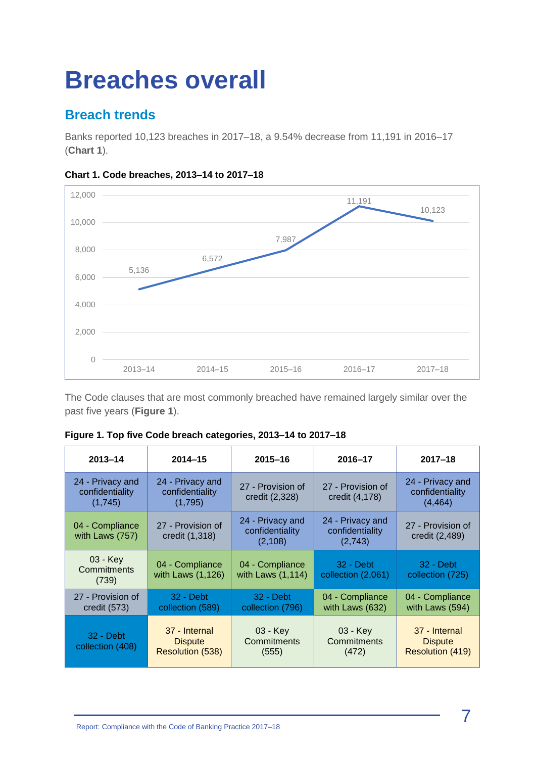## <span id="page-6-0"></span>**Breaches overall**

## **Breach trends**

Banks reported 10,123 breaches in 2017–18, a 9.54% decrease from 11,191 in 2016–17 (**Chart 1**).



#### **Chart 1. Code breaches, 2013–14 to 2017–18**

The Code clauses that are most commonly breached have remained largely similar over the past five years (**Figure 1**).

| $2013 - 14$                                    | $2014 - 15$                                         | $2015 - 16$                                    | $2016 - 17$                                    | $2017 - 18$                                         |
|------------------------------------------------|-----------------------------------------------------|------------------------------------------------|------------------------------------------------|-----------------------------------------------------|
| 24 - Privacy and<br>confidentiality<br>(1,745) | 24 - Privacy and<br>confidentiality<br>(1,795)      | 27 - Provision of<br>credit (2,328)            | 27 - Provision of<br>credit (4,178)            | 24 - Privacy and<br>confidentiality<br>(4, 464)     |
| 04 - Compliance<br>with Laws (757)             | 27 - Provision of<br>credit (1,318)                 | 24 - Privacy and<br>confidentiality<br>(2,108) | 24 - Privacy and<br>confidentiality<br>(2,743) | 27 - Provision of<br>credit (2,489)                 |
| 03 - Key<br>Commitments<br>(739)               | 04 - Compliance<br>with Laws (1,126)                | 04 - Compliance<br>with Laws $(1, 114)$        | $32 - Debt$<br>collection (2,061)              | $32 - \text{Debt}$<br>collection (725)              |
| 27 - Provision of<br>credit $(573)$            | 32 - Debt<br>collection (589)                       | 32 - Debt<br>collection (796)                  | 04 - Compliance<br>with Laws (632)             | 04 - Compliance<br>with Laws (594)                  |
| $32 - Debt$<br>collection (408)                | 37 - Internal<br><b>Dispute</b><br>Resolution (538) | 03 - Key<br>Commitments<br>(555)               | 03 - Key<br>Commitments<br>(472)               | 37 - Internal<br><b>Dispute</b><br>Resolution (419) |

|  |  | Figure 1. Top five Code breach categories, 2013-14 to 2017-18 |  |
|--|--|---------------------------------------------------------------|--|
|  |  |                                                               |  |
|  |  |                                                               |  |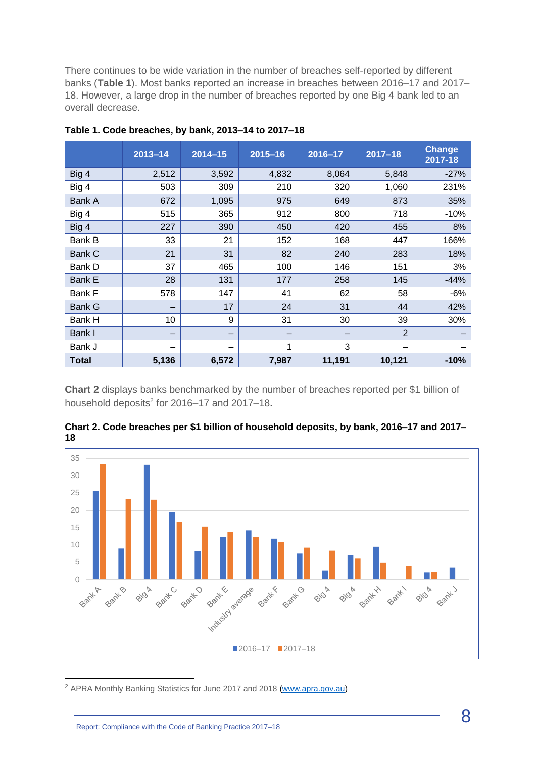There continues to be wide variation in the number of breaches self-reported by different banks (**Table 1**). Most banks reported an increase in breaches between 2016–17 and 2017– 18. However, a large drop in the number of breaches reported by one Big 4 bank led to an overall decrease.

|               | $2013 - 14$ | $2014 - 15$ | $2015 - 16$ | 2016-17 | $2017 - 18$    | <b>Change</b><br>2017-18 |
|---------------|-------------|-------------|-------------|---------|----------------|--------------------------|
| Big 4         | 2,512       | 3,592       | 4,832       | 8,064   | 5,848          | $-27%$                   |
| Big 4         | 503         | 309         | 210         | 320     | 1,060          | 231%                     |
| Bank A        | 672         | 1,095       | 975         | 649     | 873            | 35%                      |
| Big 4         | 515         | 365         | 912         | 800     | 718            | $-10%$                   |
| Big 4         | 227         | 390         | 450         | 420     | 455            | 8%                       |
| Bank B        | 33          | 21          | 152         | 168     | 447            | 166%                     |
| <b>Bank C</b> | 21          | 31          | 82          | 240     | 283            | 18%                      |
| Bank D        | 37          | 465         | 100         | 146     | 151            | 3%                       |
| <b>Bank E</b> | 28          | 131         | 177         | 258     | 145            | $-44%$                   |
| Bank F        | 578         | 147         | 41          | 62      | 58             | $-6%$                    |
| Bank G        |             | 17          | 24          | 31      | 44             | 42%                      |
| Bank H        | 10          | 9           | 31          | 30      | 39             | 30%                      |
| Bank I        |             | -           |             | -       | $\overline{2}$ |                          |
| Bank J        |             |             | 1           | 3       |                |                          |
| <b>Total</b>  | 5,136       | 6,572       | 7,987       | 11,191  | 10,121         | $-10%$                   |

**Table 1. Code breaches, by bank, 2013–14 to 2017–18**

**Chart 2** displays banks benchmarked by the number of breaches reported per \$1 billion of household deposits<sup>2</sup> for 2016–17 and 2017–18.



**Chart 2. Code breaches per \$1 billion of household deposits, by bank, 2016–17 and 2017– 18**

<sup>2</sup> APRA Monthly Banking Statistics for June 2017 and 2018 [\(www.apra.gov.au\)](http://www.apra.gov.au/)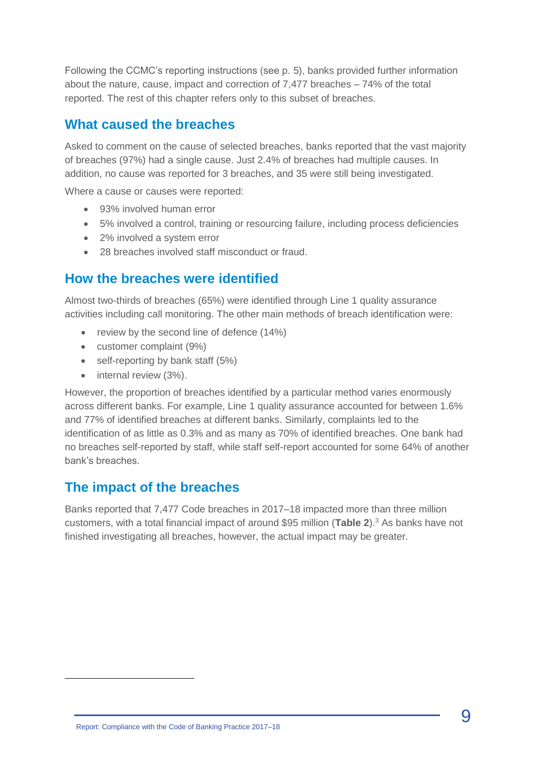Following the CCMC's reporting instructions (see p. 5), banks provided further information about the nature, cause, impact and correction of 7,477 breaches – 74% of the total reported. The rest of this chapter refers only to this subset of breaches.

#### **What caused the breaches**

Asked to comment on the cause of selected breaches, banks reported that the vast majority of breaches (97%) had a single cause. Just 2.4% of breaches had multiple causes. In addition, no cause was reported for 3 breaches, and 35 were still being investigated.

Where a cause or causes were reported:

- 93% involved human error
- 5% involved a control, training or resourcing failure, including process deficiencies
- 2% involved a system error
- 28 breaches involved staff misconduct or fraud.

#### **How the breaches were identified**

Almost two-thirds of breaches (65%) were identified through Line 1 quality assurance activities including call monitoring. The other main methods of breach identification were:

- review by the second line of defence (14%)
- customer complaint (9%)
- self-reporting by bank staff (5%)
- internal review (3%).

However, the proportion of breaches identified by a particular method varies enormously across different banks. For example, Line 1 quality assurance accounted for between 1.6% and 77% of identified breaches at different banks. Similarly, complaints led to the identification of as little as 0.3% and as many as 70% of identified breaches. One bank had no breaches self-reported by staff, while staff self-report accounted for some 64% of another bank's breaches.

#### **The impact of the breaches**

Banks reported that 7,477 Code breaches in 2017–18 impacted more than three million customers, with a total financial impact of around \$95 million (**Table 2**). <sup>3</sup> As banks have not finished investigating all breaches, however, the actual impact may be greater.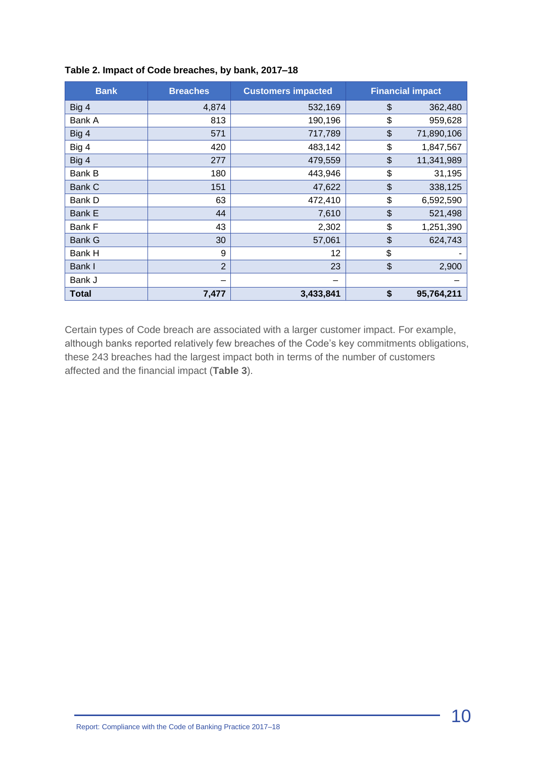| <b>Bank</b>   | <b>Breaches</b> | <b>Customers impacted</b> | <b>Financial impact</b> |
|---------------|-----------------|---------------------------|-------------------------|
| Big 4         | 4,874           | 532,169                   | \$<br>362,480           |
| Bank A        | 813             | 190,196                   | \$<br>959,628           |
| Big 4         | 571             | 717,789                   | \$<br>71,890,106        |
| Big 4         | 420             | 483,142                   | \$<br>1,847,567         |
| Big 4         | 277             | 479,559                   | \$<br>11,341,989        |
| Bank B        | 180             | 443,946                   | \$<br>31,195            |
| Bank C        | 151             | 47,622                    | \$<br>338,125           |
| Bank D        | 63              | 472,410                   | \$<br>6,592,590         |
| <b>Bank E</b> | 44              | 7,610                     | \$<br>521,498           |
| <b>Bank F</b> | 43              | 2,302                     | \$<br>1,251,390         |
| <b>Bank G</b> | 30              | 57,061                    | \$<br>624,743           |
| Bank H        | 9               | 12                        | \$                      |
| Bank I        | $\overline{2}$  | 23                        | \$<br>2,900             |
| Bank J        |                 | –                         |                         |
| <b>Total</b>  | 7,477           | 3,433,841                 | \$<br>95,764,211        |

#### **Table 2. Impact of Code breaches, by bank, 2017–18**

Certain types of Code breach are associated with a larger customer impact. For example, although banks reported relatively few breaches of the Code's key commitments obligations, these 243 breaches had the largest impact both in terms of the number of customers affected and the financial impact (**Table 3**).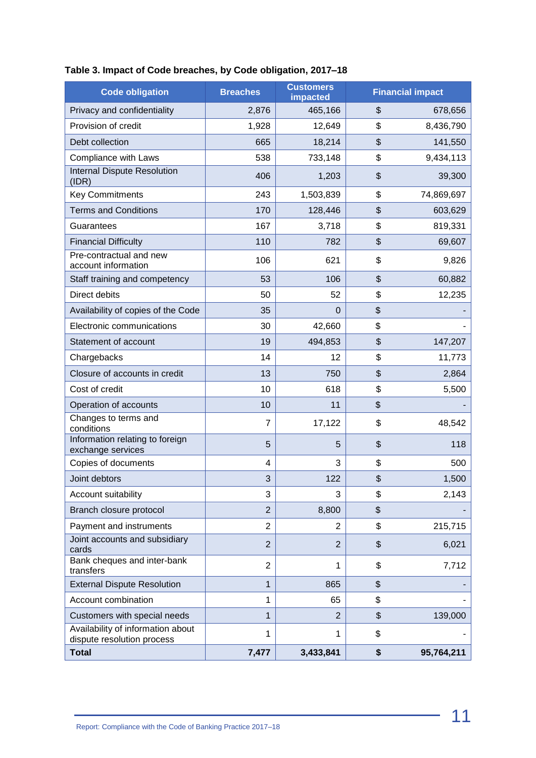| <b>Code obligation</b>                                          | <b>Breaches</b> | <b>Customers</b><br>impacted | <b>Financial impact</b> |
|-----------------------------------------------------------------|-----------------|------------------------------|-------------------------|
| Privacy and confidentiality                                     | 2,876           | 465,166                      | \$<br>678,656           |
| Provision of credit                                             | 1,928           | 12,649                       | \$<br>8,436,790         |
| Debt collection                                                 | 665             | 18,214                       | \$<br>141,550           |
| Compliance with Laws                                            | 538             | 733,148                      | \$<br>9,434,113         |
| <b>Internal Dispute Resolution</b><br>(IDR)                     | 406             | 1,203                        | \$<br>39,300            |
| <b>Key Commitments</b>                                          | 243             | 1,503,839                    | \$<br>74,869,697        |
| <b>Terms and Conditions</b>                                     | 170             | 128,446                      | \$<br>603,629           |
| Guarantees                                                      | 167             | 3,718                        | \$<br>819,331           |
| <b>Financial Difficulty</b>                                     | 110             | 782                          | \$<br>69,607            |
| Pre-contractual and new<br>account information                  | 106             | 621                          | \$<br>9,826             |
| Staff training and competency                                   | 53              | 106                          | \$<br>60,882            |
| Direct debits                                                   | 50              | 52                           | \$<br>12,235            |
| Availability of copies of the Code                              | 35              | 0                            | \$                      |
| Electronic communications                                       | 30              | 42,660                       | \$                      |
| Statement of account                                            | 19              | 494,853                      | \$<br>147,207           |
| Chargebacks                                                     | 14              | 12                           | \$<br>11,773            |
| Closure of accounts in credit                                   | 13              | 750                          | \$<br>2,864             |
| Cost of credit                                                  | 10              | 618                          | \$<br>5,500             |
| Operation of accounts                                           | 10              | 11                           | \$                      |
| Changes to terms and<br>conditions                              | $\overline{7}$  | 17,122                       | \$<br>48,542            |
| Information relating to foreign<br>exchange services            | 5               | 5                            | \$<br>118               |
| Copies of documents                                             | 4               | 3                            | \$<br>500               |
| Joint debtors                                                   | 3               | 122                          | \$<br>1,500             |
| Account suitability                                             | 3               | 3                            | \$<br>2,143             |
| Branch closure protocol                                         | $\overline{2}$  | 8,800                        | \$                      |
| Payment and instruments                                         | $\overline{2}$  | 2                            | \$<br>215,715           |
| Joint accounts and subsidiary<br>cards                          | $\overline{2}$  | $\overline{2}$               | \$<br>6,021             |
| Bank cheques and inter-bank<br>transfers                        | $\overline{2}$  | 1                            | \$<br>7,712             |
| <b>External Dispute Resolution</b>                              | 1               | 865                          | \$                      |
| Account combination                                             | 1               | 65                           | \$                      |
| Customers with special needs                                    | 1               | $\overline{2}$               | \$<br>139,000           |
| Availability of information about<br>dispute resolution process | 1               | 1                            | \$                      |
| <b>Total</b>                                                    | 7,477           | 3,433,841                    | \$<br>95,764,211        |

#### **Table 3. Impact of Code breaches, by Code obligation, 2017–18**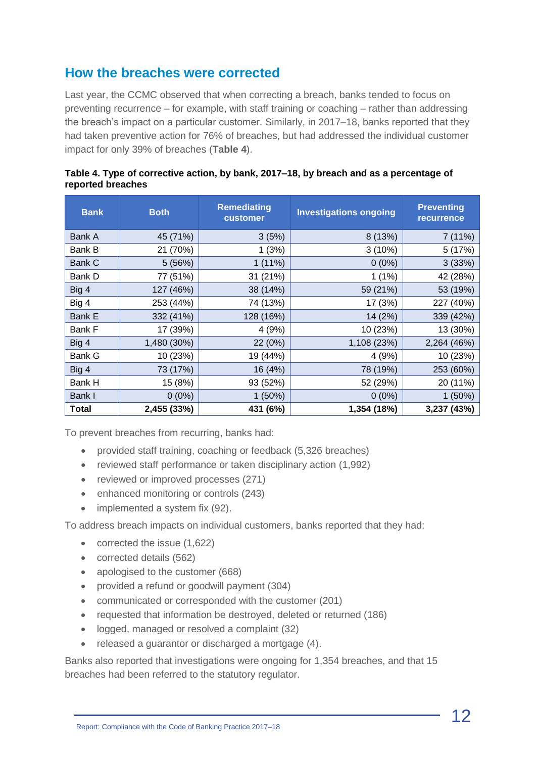#### **How the breaches were corrected**

Last year, the CCMC observed that when correcting a breach, banks tended to focus on preventing recurrence – for example, with staff training or coaching – rather than addressing the breach's impact on a particular customer. Similarly, in 2017–18, banks reported that they had taken preventive action for 76% of breaches, but had addressed the individual customer impact for only 39% of breaches (**Table 4**).

| <b>Bank</b>  | <b>Both</b> | <b>Remediating</b><br>customer | <b>Investigations ongoing</b> | <b>Preventing</b><br><b>recurrence</b> |
|--------------|-------------|--------------------------------|-------------------------------|----------------------------------------|
| Bank A       | 45 (71%)    | 3(5%)                          | 8 (13%)                       | 7(11%)                                 |
| Bank B       | 21 (70%)    | 1(3%)                          | 3(10%)                        | 5 (17%)                                |
| Bank C       | 5(56%)      | $1(11\%)$                      | $0(0\%)$                      | 3(33%)                                 |
| Bank D       | 77 (51%)    | 31 (21%)                       | $1(1\%)$                      | 42 (28%)                               |
| Big 4        | 127 (46%)   | 38 (14%)                       | 59 (21%)                      | 53 (19%)                               |
| Big 4        | 253 (44%)   | 74 (13%)                       | 17 (3%)                       | 227 (40%)                              |
| Bank E       | 332 (41%)   | 128 (16%)                      | 14 (2%)                       | 339 (42%)                              |
| Bank F       | 17 (39%)    | 4(9%)                          | 10 (23%)                      | 13 (30%)                               |
| Big 4        | 1,480 (30%) | 22 (0%)                        | 1,108 (23%)                   | 2,264 (46%)                            |
| Bank G       | 10 (23%)    | 19 (44%)                       | 4(9%)                         | 10 (23%)                               |
| Big 4        | 73 (17%)    | 16 (4%)                        | 78 (19%)                      | 253 (60%)                              |
| Bank H       | 15 (8%)     | 93 (52%)                       | 52 (29%)                      | 20 (11%)                               |
| Bank I       | $0(0\%)$    | 1(50%)                         | $0(0\%)$                      | 1(50%)                                 |
| <b>Total</b> | 2,455 (33%) | 431 (6%)                       | 1,354 (18%)                   | 3,237 (43%)                            |

**Table 4. Type of corrective action, by bank, 2017–18, by breach and as a percentage of reported breaches**

To prevent breaches from recurring, banks had:

- provided staff training, coaching or feedback (5,326 breaches)
- reviewed staff performance or taken disciplinary action (1,992)
- reviewed or improved processes (271)
- enhanced monitoring or controls (243)
- implemented a system fix (92).

To address breach impacts on individual customers, banks reported that they had:

- corrected the issue (1,622)
- corrected details (562)
- apologised to the customer (668)
- provided a refund or goodwill payment (304)
- communicated or corresponded with the customer (201)
- requested that information be destroyed, deleted or returned (186)
- logged, managed or resolved a complaint (32)
- released a guarantor or discharged a mortgage (4).

Banks also reported that investigations were ongoing for 1,354 breaches, and that 15 breaches had been referred to the statutory regulator.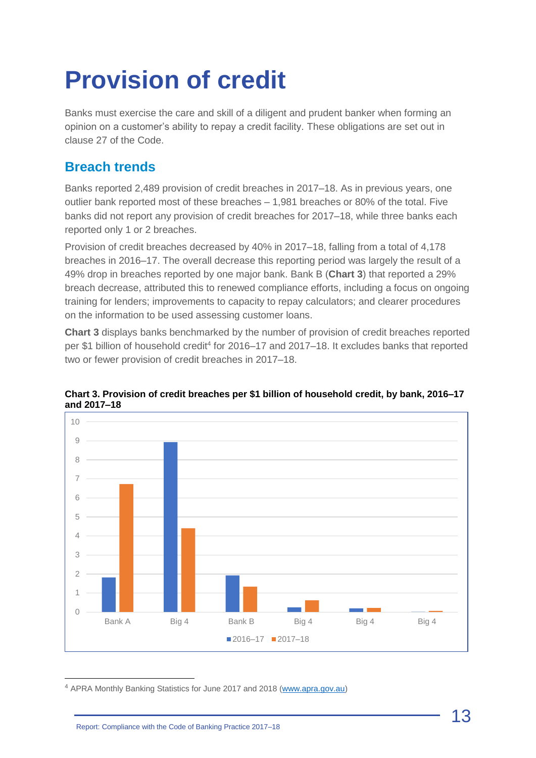## <span id="page-12-0"></span>**Provision of credit**

Banks must exercise the care and skill of a diligent and prudent banker when forming an opinion on a customer's ability to repay a credit facility. These obligations are set out in clause 27 of the Code.

## **Breach trends**

Banks reported 2,489 provision of credit breaches in 2017–18. As in previous years, one outlier bank reported most of these breaches – 1,981 breaches or 80% of the total. Five banks did not report any provision of credit breaches for 2017–18, while three banks each reported only 1 or 2 breaches.

Provision of credit breaches decreased by 40% in 2017–18, falling from a total of 4,178 breaches in 2016–17. The overall decrease this reporting period was largely the result of a 49% drop in breaches reported by one major bank. Bank B (**Chart 3**) that reported a 29% breach decrease, attributed this to renewed compliance efforts, including a focus on ongoing training for lenders; improvements to capacity to repay calculators; and clearer procedures on the information to be used assessing customer loans.

**Chart 3** displays banks benchmarked by the number of provision of credit breaches reported per \$1 billion of household credit<sup>4</sup> for 2016–17 and 2017–18. It excludes banks that reported two or fewer provision of credit breaches in 2017–18.



**Chart 3. Provision of credit breaches per \$1 billion of household credit, by bank, 2016–17 and 2017–18**

<sup>4</sup> APRA Monthly Banking Statistics for June 2017 and 2018 [\(www.apra.gov.au\)](http://www.apra.gov.au/)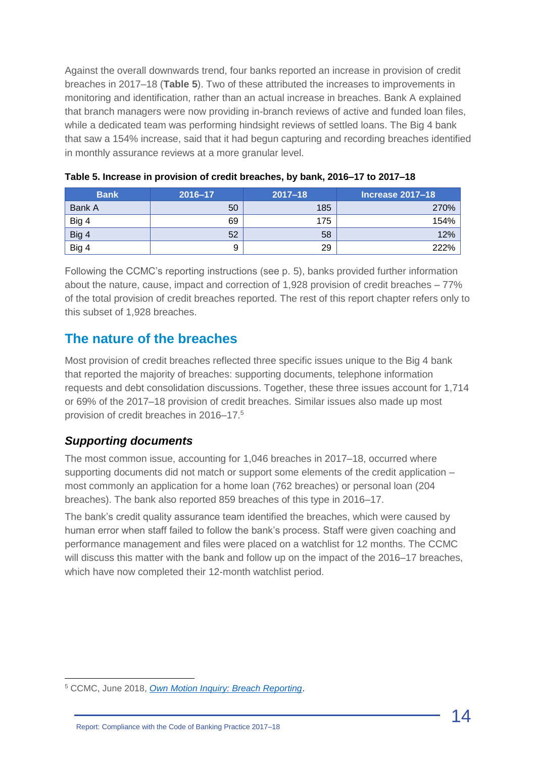Against the overall downwards trend, four banks reported an increase in provision of credit breaches in 2017–18 (**Table 5**). Two of these attributed the increases to improvements in monitoring and identification, rather than an actual increase in breaches. Bank A explained that branch managers were now providing in-branch reviews of active and funded loan files, while a dedicated team was performing hindsight reviews of settled loans. The Big 4 bank that saw a 154% increase, said that it had begun capturing and recording breaches identified in monthly assurance reviews at a more granular level.

| <b>Bank</b> | 2016-17 | $2017 - 18$ | <b>Increase 2017-18</b> |
|-------------|---------|-------------|-------------------------|
| Bank A      | 50      | 185         | 270%                    |
| Big 4       | 69      | 175         | 154%                    |
| Big 4       | 52      | 58          | 12%                     |
| Big 4       | 9       | 29          | 222%                    |

| Table 5. Increase in provision of credit breaches, by bank, 2016–17 to 2017–18 |  |  |  |  |  |
|--------------------------------------------------------------------------------|--|--|--|--|--|
|--------------------------------------------------------------------------------|--|--|--|--|--|

Following the CCMC's reporting instructions (see p. 5), banks provided further information about the nature, cause, impact and correction of 1,928 provision of credit breaches – 77% of the total provision of credit breaches reported. The rest of this report chapter refers only to this subset of 1,928 breaches.

#### **The nature of the breaches**

Most provision of credit breaches reflected three specific issues unique to the Big 4 bank that reported the majority of breaches: supporting documents, telephone information requests and debt consolidation discussions. Together, these three issues account for 1,714 or 69% of the 2017–18 provision of credit breaches. Similar issues also made up most provision of credit breaches in 2016–17.<sup>5</sup>

#### *Supporting documents*

The most common issue, accounting for 1,046 breaches in 2017–18, occurred where supporting documents did not match or support some elements of the credit application – most commonly an application for a home loan (762 breaches) or personal loan (204 breaches). The bank also reported 859 breaches of this type in 2016–17.

The bank's credit quality assurance team identified the breaches, which were caused by human error when staff failed to follow the bank's process. Staff were given coaching and performance management and files were placed on a watchlist for 12 months. The CCMC will discuss this matter with the bank and follow up on the impact of the 2016–17 breaches, which have now completed their 12-month watchlist period.

<sup>5</sup> CCMC, June 2018, *[Own Motion Inquiry: Breach Reporting](http://www.ccmc.org.au/cms/wp-content/uploads/2018/06/CCMC-Inquiry-Report-Breach-Reporting-June-2018.pdf)*.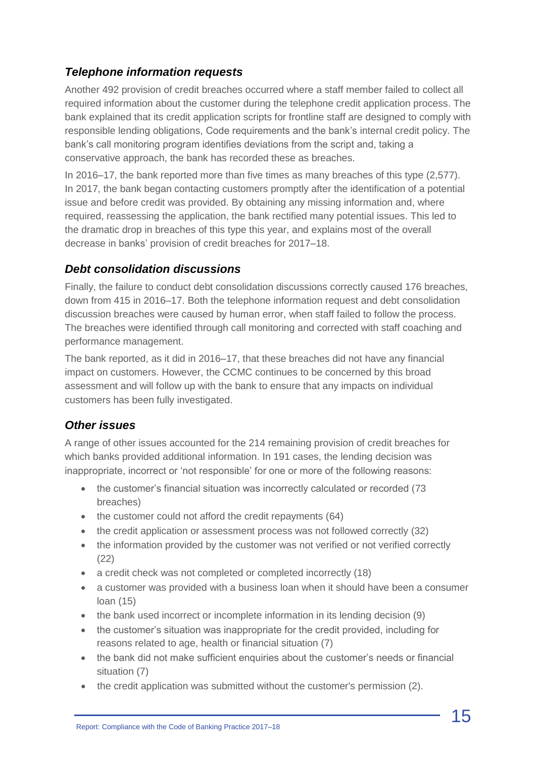#### *Telephone information requests*

Another 492 provision of credit breaches occurred where a staff member failed to collect all required information about the customer during the telephone credit application process. The bank explained that its credit application scripts for frontline staff are designed to comply with responsible lending obligations, Code requirements and the bank's internal credit policy. The bank's call monitoring program identifies deviations from the script and, taking a conservative approach, the bank has recorded these as breaches.

In 2016–17, the bank reported more than five times as many breaches of this type (2,577). In 2017, the bank began contacting customers promptly after the identification of a potential issue and before credit was provided. By obtaining any missing information and, where required, reassessing the application, the bank rectified many potential issues. This led to the dramatic drop in breaches of this type this year, and explains most of the overall decrease in banks' provision of credit breaches for 2017–18.

#### *Debt consolidation discussions*

Finally, the failure to conduct debt consolidation discussions correctly caused 176 breaches, down from 415 in 2016–17. Both the telephone information request and debt consolidation discussion breaches were caused by human error, when staff failed to follow the process. The breaches were identified through call monitoring and corrected with staff coaching and performance management.

The bank reported, as it did in 2016–17, that these breaches did not have any financial impact on customers. However, the CCMC continues to be concerned by this broad assessment and will follow up with the bank to ensure that any impacts on individual customers has been fully investigated.

#### *Other issues*

A range of other issues accounted for the 214 remaining provision of credit breaches for which banks provided additional information. In 191 cases, the lending decision was inappropriate, incorrect or 'not responsible' for one or more of the following reasons:

- the customer's financial situation was incorrectly calculated or recorded (73 breaches)
- the customer could not afford the credit repayments (64)
- the credit application or assessment process was not followed correctly (32)
- the information provided by the customer was not verified or not verified correctly (22)
- a credit check was not completed or completed incorrectly (18)
- a customer was provided with a business loan when it should have been a consumer loan (15)
- the bank used incorrect or incomplete information in its lending decision (9)
- the customer's situation was inappropriate for the credit provided, including for reasons related to age, health or financial situation (7)
- the bank did not make sufficient enquiries about the customer's needs or financial situation (7)
- the credit application was submitted without the customer's permission (2).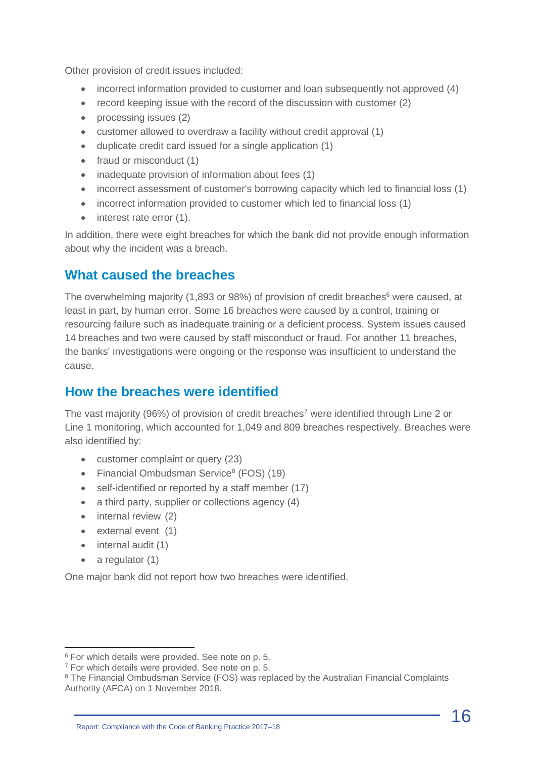Other provision of credit issues included:

- incorrect information provided to customer and loan subsequently not approved (4)
- record keeping issue with the record of the discussion with customer (2)
- processing issues (2)
- customer allowed to overdraw a facility without credit approval (1)
- duplicate credit card issued for a single application (1)
- fraud or misconduct (1)
- inadequate provision of information about fees (1)
- incorrect assessment of customer's borrowing capacity which led to financial loss (1)
- incorrect information provided to customer which led to financial loss (1)
- interest rate error (1).

In addition, there were eight breaches for which the bank did not provide enough information about why the incident was a breach.

#### **What caused the breaches**

The overwhelming majority (1,893 or 98%) of provision of credit breaches<sup>6</sup> were caused, at least in part, by human error. Some 16 breaches were caused by a control, training or resourcing failure such as inadequate training or a deficient process. System issues caused 14 breaches and two were caused by staff misconduct or fraud. For another 11 breaches, the banks' investigations were ongoing or the response was insufficient to understand the cause.

#### **How the breaches were identified**

The vast majority (96%) of provision of credit breaches<sup>7</sup> were identified through Line 2 or Line 1 monitoring, which accounted for 1,049 and 809 breaches respectively. Breaches were also identified by:

- customer complaint or query (23)
- Financial Ombudsman Service<sup>8</sup> (FOS) (19)
- self-identified or reported by a staff member (17)
- a third party, supplier or collections agency (4)
- internal review (2)
- external event (1)
- internal audit (1)
- a regulator (1)

One major bank did not report how two breaches were identified.

Report: Compliance with the Code of Banking Practice 2017–18

<sup>6</sup> For which details were provided. See note on p. 5.

<sup>7</sup> For which details were provided. See note on p. 5.

<sup>&</sup>lt;sup>8</sup> The Financial Ombudsman Service (FOS) was replaced by the Australian Financial Complaints Authority (AFCA) on 1 November 2018.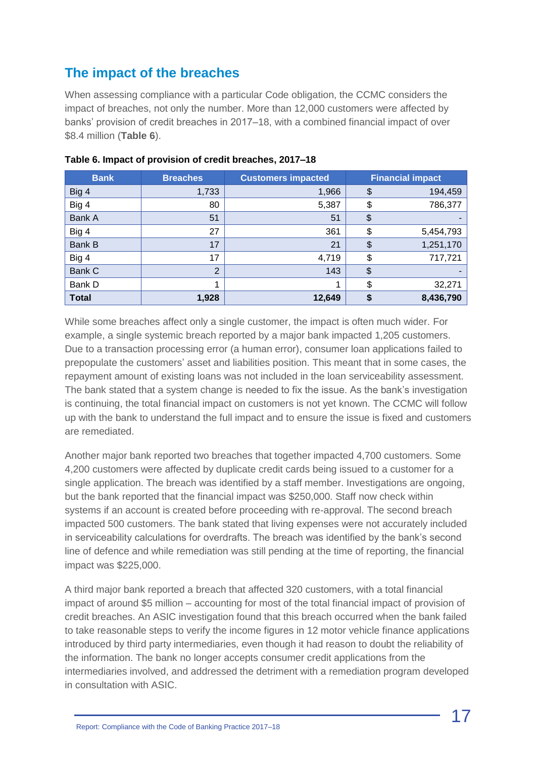## **The impact of the breaches**

When assessing compliance with a particular Code obligation, the CCMC considers the impact of breaches, not only the number. More than 12,000 customers were affected by banks' provision of credit breaches in 2017–18, with a combined financial impact of over \$8.4 million (**Table 6**).

| <b>Bank</b>  | <b>Breaches</b> | <b>Customers impacted</b> | <b>Financial impact</b> |           |
|--------------|-----------------|---------------------------|-------------------------|-----------|
| Big 4        | 1,733           | 1,966                     | \$                      | 194,459   |
| Big 4        | 80              | 5,387                     | \$                      | 786,377   |
| Bank A       | 51              | 51                        | \$                      |           |
| Big 4        | 27              | 361                       | \$                      | 5,454,793 |
| Bank B       | 17              | 21                        | \$                      | 1,251,170 |
| Big 4        | 17              | 4,719                     | \$                      | 717,721   |
| Bank C       | $\overline{2}$  | 143                       | \$                      |           |
| Bank D       | 1               |                           | \$                      | 32,271    |
| <b>Total</b> | 1,928           | 12,649                    | \$                      | 8,436,790 |

**Table 6. Impact of provision of credit breaches, 2017–18**

While some breaches affect only a single customer, the impact is often much wider. For example, a single systemic breach reported by a major bank impacted 1,205 customers. Due to a transaction processing error (a human error), consumer loan applications failed to prepopulate the customers' asset and liabilities position. This meant that in some cases, the repayment amount of existing loans was not included in the loan serviceability assessment. The bank stated that a system change is needed to fix the issue. As the bank's investigation is continuing, the total financial impact on customers is not yet known. The CCMC will follow up with the bank to understand the full impact and to ensure the issue is fixed and customers are remediated.

Another major bank reported two breaches that together impacted 4,700 customers. Some 4,200 customers were affected by duplicate credit cards being issued to a customer for a single application. The breach was identified by a staff member. Investigations are ongoing, but the bank reported that the financial impact was \$250,000. Staff now check within systems if an account is created before proceeding with re-approval. The second breach impacted 500 customers. The bank stated that living expenses were not accurately included in serviceability calculations for overdrafts. The breach was identified by the bank's second line of defence and while remediation was still pending at the time of reporting, the financial impact was \$225,000.

A third major bank reported a breach that affected 320 customers, with a total financial impact of around \$5 million – accounting for most of the total financial impact of provision of credit breaches. An ASIC investigation found that this breach occurred when the bank failed to take reasonable steps to verify the income figures in 12 motor vehicle finance applications introduced by third party intermediaries, even though it had reason to doubt the reliability of the information. The bank no longer accepts consumer credit applications from the intermediaries involved, and addressed the detriment with a remediation program developed in consultation with ASIC.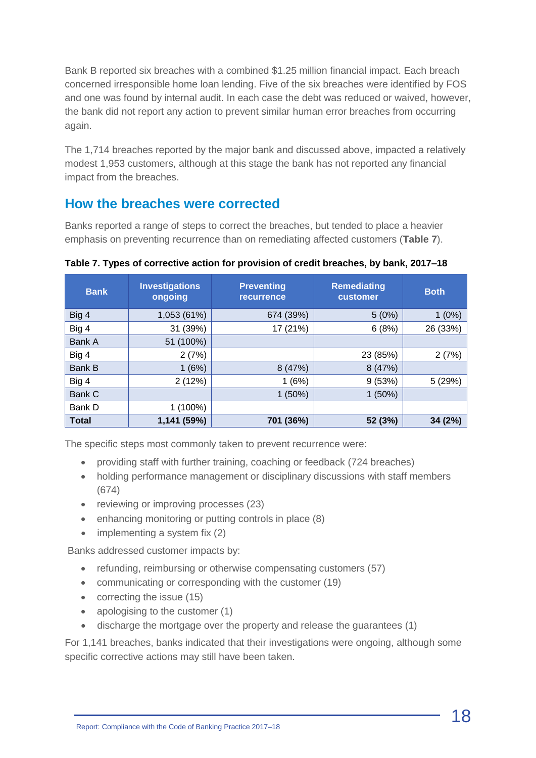Bank B reported six breaches with a combined \$1.25 million financial impact. Each breach concerned irresponsible home loan lending. Five of the six breaches were identified by FOS and one was found by internal audit. In each case the debt was reduced or waived, however, the bank did not report any action to prevent similar human error breaches from occurring again.

The 1,714 breaches reported by the major bank and discussed above, impacted a relatively modest 1,953 customers, although at this stage the bank has not reported any financial impact from the breaches.

#### **How the breaches were corrected**

Banks reported a range of steps to correct the breaches, but tended to place a heavier emphasis on preventing recurrence than on remediating affected customers (**Table 7**).

| <b>Bank</b>   | <b>Investigations</b><br>ongoing | <b>Preventing</b><br><b>recurrence</b> | <b>Remediating</b><br>customer | <b>Both</b> |
|---------------|----------------------------------|----------------------------------------|--------------------------------|-------------|
| Big 4         | 1,053 (61%)                      | 674 (39%)                              | 5(0%)                          | (0%)<br>1   |
| Big 4         | 31 (39%)                         | 17 (21%)                               | 6(8%)                          | 26 (33%)    |
| Bank A        | 51 (100%)                        |                                        |                                |             |
| Big 4         | 2(7%)                            |                                        | 23 (85%)                       | 2(7%)       |
| <b>Bank B</b> | 1(6%)                            | 8(47%)                                 | 8 (47%)                        |             |
| Big 4         | 2(12%)                           | 1(6%)                                  | 9(53%)                         | 5 (29%)     |
| Bank C        |                                  | $1(50\%)$                              | 1(50%)                         |             |
| Bank D        | 1 (100%)                         |                                        |                                |             |
| <b>Total</b>  | 1,141 (59%)                      | 701 (36%)                              | 52 (3%)                        | 34 (2%)     |

**Table 7. Types of corrective action for provision of credit breaches, by bank, 2017–18**

The specific steps most commonly taken to prevent recurrence were:

- providing staff with further training, coaching or feedback (724 breaches)
- holding performance management or disciplinary discussions with staff members (674)
- reviewing or improving processes (23)
- enhancing monitoring or putting controls in place (8)
- implementing a system fix (2)

Banks addressed customer impacts by:

- refunding, reimbursing or otherwise compensating customers (57)
- communicating or corresponding with the customer (19)
- correcting the issue (15)
- apologising to the customer (1)
- discharge the mortgage over the property and release the guarantees (1)

For 1,141 breaches, banks indicated that their investigations were ongoing, although some specific corrective actions may still have been taken.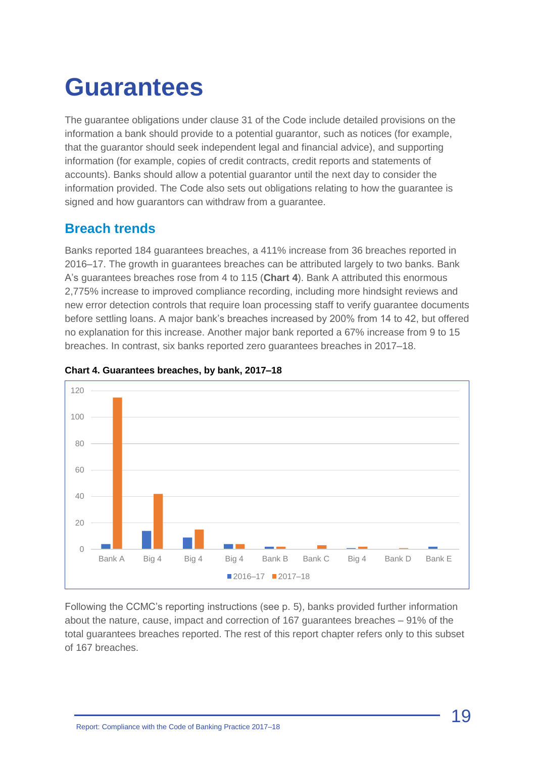## <span id="page-18-0"></span>**Guarantees**

The guarantee obligations under clause 31 of the Code include detailed provisions on the information a bank should provide to a potential guarantor, such as notices (for example, that the guarantor should seek independent legal and financial advice), and supporting information (for example, copies of credit contracts, credit reports and statements of accounts). Banks should allow a potential guarantor until the next day to consider the information provided. The Code also sets out obligations relating to how the guarantee is signed and how guarantors can withdraw from a guarantee.

### **Breach trends**

Banks reported 184 guarantees breaches, a 411% increase from 36 breaches reported in 2016–17. The growth in guarantees breaches can be attributed largely to two banks. Bank A's guarantees breaches rose from 4 to 115 (**Chart 4**). Bank A attributed this enormous 2,775% increase to improved compliance recording, including more hindsight reviews and new error detection controls that require loan processing staff to verify guarantee documents before settling loans. A major bank's breaches increased by 200% from 14 to 42, but offered no explanation for this increase. Another major bank reported a 67% increase from 9 to 15 breaches. In contrast, six banks reported zero guarantees breaches in 2017–18.



#### **Chart 4. Guarantees breaches, by bank, 2017–18**

Following the CCMC's reporting instructions (see p. 5), banks provided further information about the nature, cause, impact and correction of 167 guarantees breaches – 91% of the total guarantees breaches reported. The rest of this report chapter refers only to this subset of 167 breaches.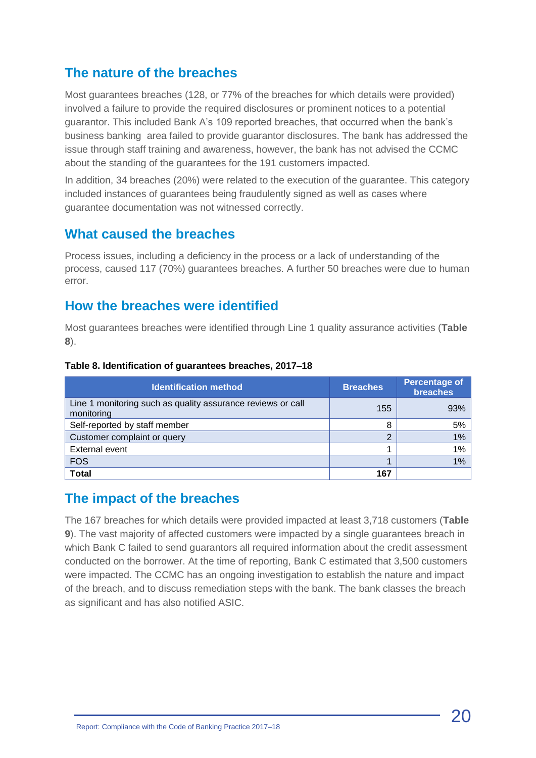#### **The nature of the breaches**

Most guarantees breaches (128, or 77% of the breaches for which details were provided) involved a failure to provide the required disclosures or prominent notices to a potential guarantor. This included Bank A's 109 reported breaches, that occurred when the bank's business banking area failed to provide guarantor disclosures. The bank has addressed the issue through staff training and awareness, however, the bank has not advised the CCMC about the standing of the guarantees for the 191 customers impacted.

In addition, 34 breaches (20%) were related to the execution of the guarantee. This category included instances of guarantees being fraudulently signed as well as cases where guarantee documentation was not witnessed correctly.

#### **What caused the breaches**

Process issues, including a deficiency in the process or a lack of understanding of the process, caused 117 (70%) guarantees breaches. A further 50 breaches were due to human error.

#### **How the breaches were identified**

Most guarantees breaches were identified through Line 1 quality assurance activities (**Table 8**).

| <b>Identification method</b>                                              | <b>Breaches</b> | <b>Percentage of</b><br>breaches |
|---------------------------------------------------------------------------|-----------------|----------------------------------|
| Line 1 monitoring such as quality assurance reviews or call<br>monitoring | 155             | 93%                              |
| Self-reported by staff member                                             | 8               | 5%                               |
| Customer complaint or query                                               |                 | 1%                               |
| External event                                                            |                 | 1%                               |
| <b>FOS</b>                                                                |                 | 1%                               |
| <b>Total</b>                                                              | 167             |                                  |

#### **Table 8. Identification of guarantees breaches, 2017–18**

#### **The impact of the breaches**

The 167 breaches for which details were provided impacted at least 3,718 customers (**Table 9**). The vast majority of affected customers were impacted by a single guarantees breach in which Bank C failed to send guarantors all required information about the credit assessment conducted on the borrower. At the time of reporting, Bank C estimated that 3,500 customers were impacted. The CCMC has an ongoing investigation to establish the nature and impact of the breach, and to discuss remediation steps with the bank. The bank classes the breach as significant and has also notified ASIC.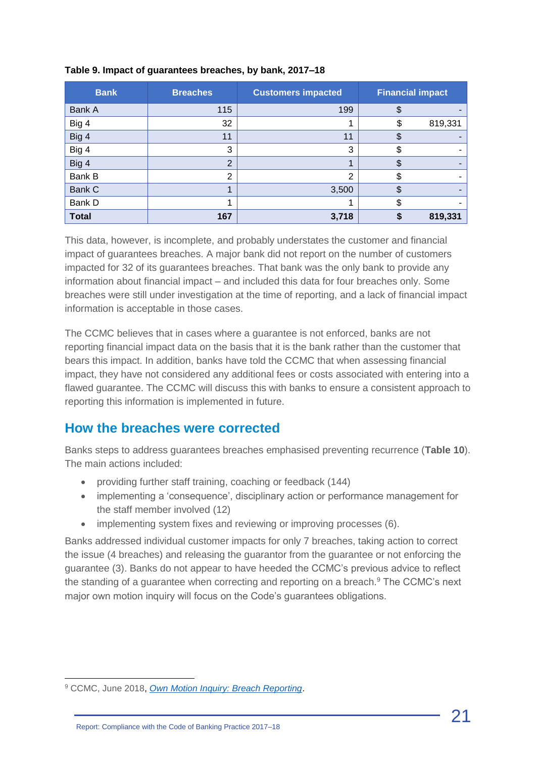| <b>Bank</b>  | <b>Breaches</b> | <b>Customers impacted</b> | <b>Financial impact</b> |         |
|--------------|-----------------|---------------------------|-------------------------|---------|
| Bank A       | 115             | 199                       | \$                      |         |
| Big 4        | 32              |                           | \$                      | 819,331 |
| Big 4        | 11              | 11                        |                         |         |
| Big 4        | 3               | 3                         | Φ                       |         |
| Big 4        | $\overline{2}$  |                           |                         |         |
| Bank B       | 2               | $\overline{2}$            | J                       |         |
| Bank C       |                 | 3,500                     | \$                      |         |
| Bank D       |                 |                           | \$                      | -       |
| <b>Total</b> | 167             | 3,718                     |                         | 819,331 |

#### **Table 9. Impact of guarantees breaches, by bank, 2017–18**

This data, however, is incomplete, and probably understates the customer and financial impact of guarantees breaches. A major bank did not report on the number of customers impacted for 32 of its guarantees breaches. That bank was the only bank to provide any information about financial impact – and included this data for four breaches only. Some breaches were still under investigation at the time of reporting, and a lack of financial impact information is acceptable in those cases.

The CCMC believes that in cases where a guarantee is not enforced, banks are not reporting financial impact data on the basis that it is the bank rather than the customer that bears this impact. In addition, banks have told the CCMC that when assessing financial impact, they have not considered any additional fees or costs associated with entering into a flawed guarantee. The CCMC will discuss this with banks to ensure a consistent approach to reporting this information is implemented in future.

### **How the breaches were corrected**

Banks steps to address guarantees breaches emphasised preventing recurrence (**Table 10**). The main actions included:

- providing further staff training, coaching or feedback (144)
- implementing a 'consequence', disciplinary action or performance management for the staff member involved (12)
- implementing system fixes and reviewing or improving processes (6).

Banks addressed individual customer impacts for only 7 breaches, taking action to correct the issue (4 breaches) and releasing the guarantor from the guarantee or not enforcing the guarantee (3). Banks do not appear to have heeded the CCMC's previous advice to reflect the standing of a guarantee when correcting and reporting on a breach.<sup>9</sup> The CCMC's next major own motion inquiry will focus on the Code's guarantees obligations.

<sup>9</sup> CCMC, June 2018, *[Own Motion Inquiry: Breach Reporting](http://www.ccmc.org.au/cms/wp-content/uploads/2018/06/CCMC-Inquiry-Report-Breach-Reporting-June-2018.pdf)*.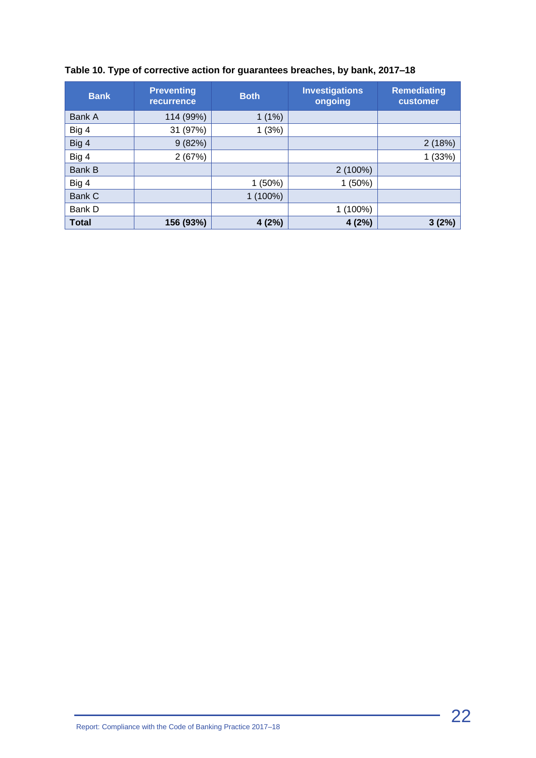| Table 10. Type of corrective action for guarantees breaches, by bank, 2017–18 |  |  |  |  |  |  |  |
|-------------------------------------------------------------------------------|--|--|--|--|--|--|--|
|-------------------------------------------------------------------------------|--|--|--|--|--|--|--|

| <b>Bank</b>   | <b>Preventing</b><br><b>recurrence</b> | <b>Both</b> | <b>Investigations</b><br>ongoing | <b>Remediating</b><br>customer |
|---------------|----------------------------------------|-------------|----------------------------------|--------------------------------|
| <b>Bank A</b> | 114 (99%)                              | $1(1\%)$    |                                  |                                |
| Big 4         | 31 (97%)                               | 1(3%)       |                                  |                                |
| Big 4         | 9(82%)                                 |             |                                  | 2(18%)                         |
| Big 4         | 2(67%)                                 |             |                                  | 1(33%)                         |
| Bank B        |                                        |             | $2(100\%)$                       |                                |
| Big 4         |                                        | 1(50%)      | 1(50%)                           |                                |
| Bank C        |                                        | 1 (100%)    |                                  |                                |
| Bank D        |                                        |             | 1 (100%)                         |                                |
| <b>Total</b>  | 156 (93%)                              | 4(2%)       | 4(2%)                            | 3(2%)                          |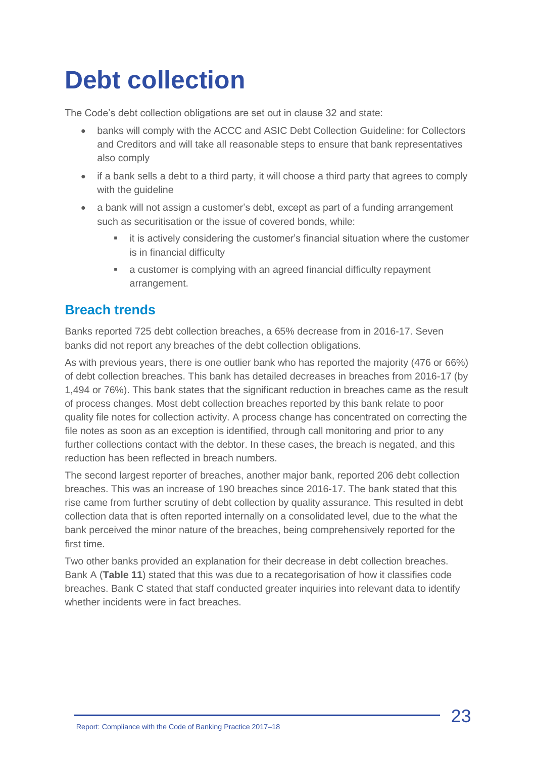## <span id="page-22-0"></span>**Debt collection**

The Code's debt collection obligations are set out in clause 32 and state:

- banks will comply with the ACCC and ASIC Debt Collection Guideline: for Collectors and Creditors and will take all reasonable steps to ensure that bank representatives also comply
- if a bank sells a debt to a third party, it will choose a third party that agrees to comply with the guideline
- a bank will not assign a customer's debt, except as part of a funding arrangement such as securitisation or the issue of covered bonds, while:
	- it is actively considering the customer's financial situation where the customer is in financial difficulty
	- a customer is complying with an agreed financial difficulty repayment arrangement.

#### **Breach trends**

Banks reported 725 debt collection breaches, a 65% decrease from in 2016-17. Seven banks did not report any breaches of the debt collection obligations.

As with previous years, there is one outlier bank who has reported the majority (476 or 66%) of debt collection breaches. This bank has detailed decreases in breaches from 2016-17 (by 1,494 or 76%). This bank states that the significant reduction in breaches came as the result of process changes. Most debt collection breaches reported by this bank relate to poor quality file notes for collection activity. A process change has concentrated on correcting the file notes as soon as an exception is identified, through call monitoring and prior to any further collections contact with the debtor. In these cases, the breach is negated, and this reduction has been reflected in breach numbers.

The second largest reporter of breaches, another major bank, reported 206 debt collection breaches. This was an increase of 190 breaches since 2016-17. The bank stated that this rise came from further scrutiny of debt collection by quality assurance. This resulted in debt collection data that is often reported internally on a consolidated level, due to the what the bank perceived the minor nature of the breaches, being comprehensively reported for the first time.

Two other banks provided an explanation for their decrease in debt collection breaches. Bank A (**Table 11**) stated that this was due to a recategorisation of how it classifies code breaches. Bank C stated that staff conducted greater inquiries into relevant data to identify whether incidents were in fact breaches.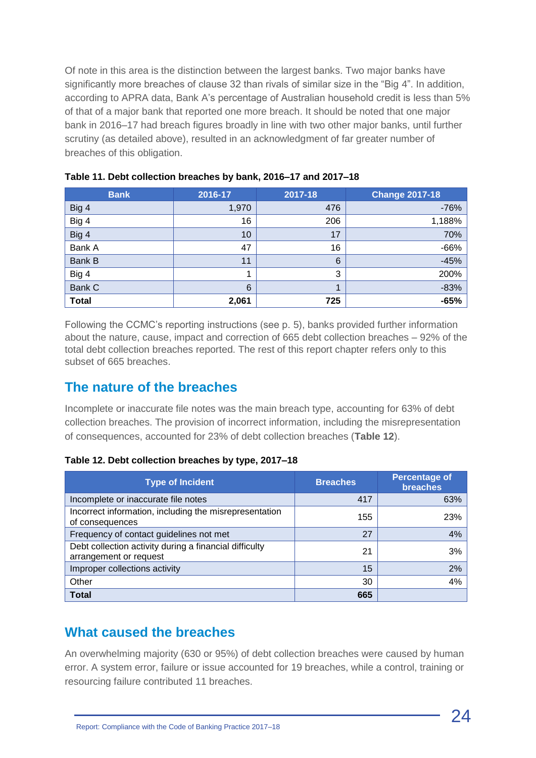Of note in this area is the distinction between the largest banks. Two major banks have significantly more breaches of clause 32 than rivals of similar size in the "Big 4". In addition, according to APRA data, Bank A's percentage of Australian household credit is less than 5% of that of a major bank that reported one more breach. It should be noted that one major bank in 2016–17 had breach figures broadly in line with two other major banks, until further scrutiny (as detailed above), resulted in an acknowledgment of far greater number of breaches of this obligation.

| <b>Bank</b>   | 2016-17 | 2017-18         | <b>Change 2017-18</b> |
|---------------|---------|-----------------|-----------------------|
| Big 4         | 1,970   | 476             | $-76%$                |
| Big 4         | 16      | 206             | 1,188%                |
| Big 4         | 10      | 17              | 70%                   |
| Bank A        | 47      | 16              | $-66%$                |
| <b>Bank B</b> | 11      | $6\phantom{1}6$ | $-45%$                |
| Big 4         | 1       | 3               | 200%                  |
| Bank C        | 6       |                 | $-83%$                |
| <b>Total</b>  | 2,061   | 725             | $-65%$                |

| Table 11. Debt collection breaches by bank, 2016–17 and 2017–18 |  |  |
|-----------------------------------------------------------------|--|--|
|-----------------------------------------------------------------|--|--|

Following the CCMC's reporting instructions (see p. 5), banks provided further information about the nature, cause, impact and correction of 665 debt collection breaches – 92% of the total debt collection breaches reported. The rest of this report chapter refers only to this subset of 665 breaches.

#### **The nature of the breaches**

Incomplete or inaccurate file notes was the main breach type, accounting for 63% of debt collection breaches. The provision of incorrect information, including the misrepresentation of consequences, accounted for 23% of debt collection breaches (**Table 12**).

| Table 12. Debt collection breaches by type, 2017-18 |  |  |  |
|-----------------------------------------------------|--|--|--|
|-----------------------------------------------------|--|--|--|

| <b>Type of Incident</b>                                                          | <b>Breaches</b> | <b>Percentage of</b><br><b>breaches</b> |
|----------------------------------------------------------------------------------|-----------------|-----------------------------------------|
| Incomplete or inaccurate file notes                                              | 417             | 63%                                     |
| Incorrect information, including the misrepresentation<br>of consequences        | 155             | 23%                                     |
| Frequency of contact guidelines not met                                          | 27              | 4%                                      |
| Debt collection activity during a financial difficulty<br>arrangement or request | 21              | 3%                                      |
| Improper collections activity                                                    | 15              | 2%                                      |
| Other                                                                            | 30              | 4%                                      |
| <b>Total</b>                                                                     | 665             |                                         |

#### **What caused the breaches**

An overwhelming majority (630 or 95%) of debt collection breaches were caused by human error. A system error, failure or issue accounted for 19 breaches, while a control, training or resourcing failure contributed 11 breaches.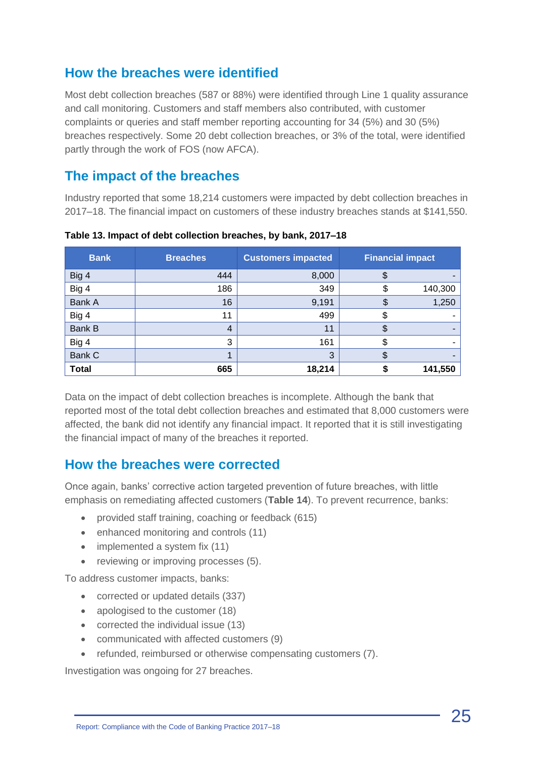### **How the breaches were identified**

Most debt collection breaches (587 or 88%) were identified through Line 1 quality assurance and call monitoring. Customers and staff members also contributed, with customer complaints or queries and staff member reporting accounting for 34 (5%) and 30 (5%) breaches respectively. Some 20 debt collection breaches, or 3% of the total, were identified partly through the work of FOS (now AFCA).

#### **The impact of the breaches**

Industry reported that some 18,214 customers were impacted by debt collection breaches in 2017–18. The financial impact on customers of these industry breaches stands at \$141,550.

| <b>Bank</b>  | <b>Breaches</b> | <b>Customers impacted</b> | <b>Financial impact</b> |
|--------------|-----------------|---------------------------|-------------------------|
| Big 4        | 444             | 8,000                     | \$                      |
| Big 4        | 186             | 349                       | 140,300<br>\$           |
| Bank A       | 16              | 9,191                     | 1,250<br>\$             |
| Big 4        | 11              | 499                       | \$                      |
| Bank B       | 4               | 11                        | S                       |
| Big 4        | 3               | 161                       |                         |
| Bank C       |                 | 3                         |                         |
| <b>Total</b> | 665             | 18,214                    | 141,550                 |

**Table 13. Impact of debt collection breaches, by bank, 2017–18**

Data on the impact of debt collection breaches is incomplete. Although the bank that reported most of the total debt collection breaches and estimated that 8,000 customers were affected, the bank did not identify any financial impact. It reported that it is still investigating the financial impact of many of the breaches it reported.

#### **How the breaches were corrected**

Once again, banks' corrective action targeted prevention of future breaches, with little emphasis on remediating affected customers (**Table 14**). To prevent recurrence, banks:

- provided staff training, coaching or feedback (615)
- enhanced monitoring and controls (11)
- implemented a system fix (11)
- reviewing or improving processes (5).

To address customer impacts, banks:

- corrected or updated details (337)
- apologised to the customer (18)
- corrected the individual issue (13)
- communicated with affected customers (9)
- refunded, reimbursed or otherwise compensating customers (7).

Investigation was ongoing for 27 breaches.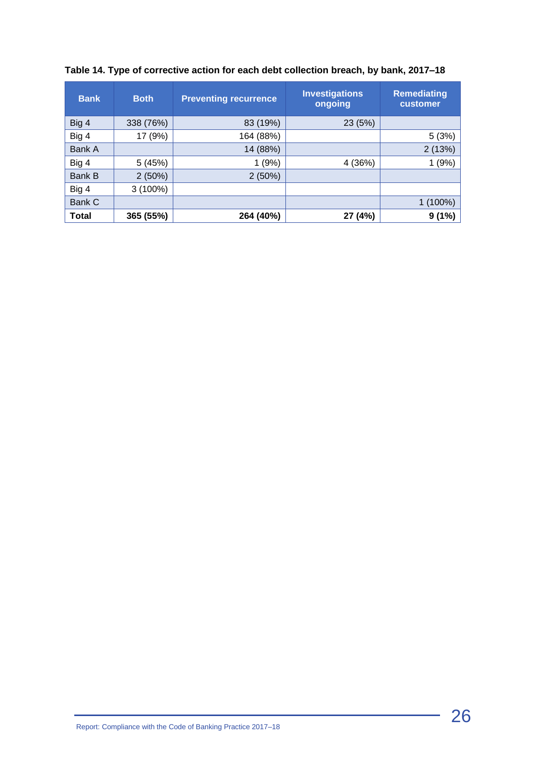| <b>Bank</b>  | <b>Both</b> | <b>Preventing recurrence</b> | <b>Investigations</b><br>ongoing | <b>Remediating</b><br>customer |
|--------------|-------------|------------------------------|----------------------------------|--------------------------------|
| Big 4        | 338 (76%)   | 83 (19%)                     | 23 (5%)                          |                                |
| Big 4        | 17 (9%)     | 164 (88%)                    |                                  | 5(3%)                          |
| Bank A       |             | 14 (88%)                     |                                  | 2(13%)                         |
| Big 4        | 5(45%)      | 1(9%)                        | 4 (36%)                          | (9%)                           |
| Bank B       | 2(50%)      | 2(50%)                       |                                  |                                |
| Big 4        | $3(100\%)$  |                              |                                  |                                |
| Bank C       |             |                              |                                  | 1 (100%)                       |
| <b>Total</b> | 365 (55%)   | 264 (40%)                    | 27 (4%)                          | 9(1%)                          |

#### **Table 14. Type of corrective action for each debt collection breach, by bank, 2017–18**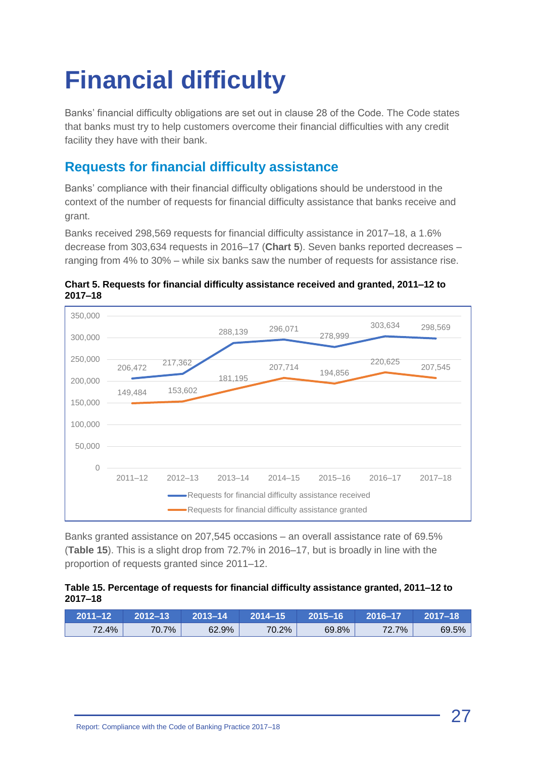# <span id="page-26-0"></span>**Financial difficulty**

Banks' financial difficulty obligations are set out in clause 28 of the Code. The Code states that banks must try to help customers overcome their financial difficulties with any credit facility they have with their bank.

## **Requests for financial difficulty assistance**

Banks' compliance with their financial difficulty obligations should be understood in the context of the number of requests for financial difficulty assistance that banks receive and grant.

Banks received 298,569 requests for financial difficulty assistance in 2017–18, a 1.6% decrease from 303,634 requests in 2016–17 (**Chart 5**). Seven banks reported decreases – ranging from 4% to 30% – while six banks saw the number of requests for assistance rise.

**Chart 5. Requests for financial difficulty assistance received and granted, 2011–12 to 2017–18**



Banks granted assistance on 207,545 occasions – an overall assistance rate of 69.5% (**Table 15**). This is a slight drop from 72.7% in 2016–17, but is broadly in line with the proportion of requests granted since 2011–12.

#### **Table 15. Percentage of requests for financial difficulty assistance granted, 2011–12 to 2017–18**

| $2011 - 12$ | 2012–13 | 2013–14' | 2014–15  | 2015-16 | 2016–17 | 2017–18 |
|-------------|---------|----------|----------|---------|---------|---------|
| 72.4%       | 70.7%   | 62.9%    | $70.2\%$ | 69.8%   | 72.7%   | 69.5%   |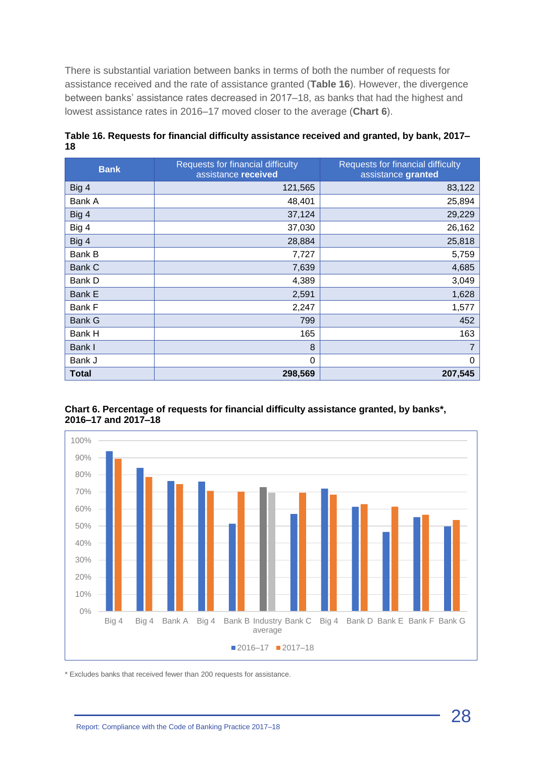There is substantial variation between banks in terms of both the number of requests for assistance received and the rate of assistance granted (**Table 16**). However, the divergence between banks' assistance rates decreased in 2017–18, as banks that had the highest and lowest assistance rates in 2016–17 moved closer to the average (**Chart 6**).

| <b>Bank</b>   | Requests for financial difficulty<br>assistance received | Requests for financial difficulty<br>assistance granted |
|---------------|----------------------------------------------------------|---------------------------------------------------------|
| Big 4         | 121,565                                                  | 83,122                                                  |
| Bank A        | 48,401                                                   | 25,894                                                  |
| Big 4         | 37,124                                                   | 29,229                                                  |
| Big 4         | 37,030                                                   | 26,162                                                  |
| Big 4         | 28,884                                                   | 25,818                                                  |
| Bank B        | 7,727                                                    | 5,759                                                   |
| Bank C        | 7,639                                                    | 4,685                                                   |
| Bank D        | 4,389                                                    | 3,049                                                   |
| <b>Bank E</b> | 2,591                                                    | 1,628                                                   |
| Bank F        | 2,247                                                    | 1,577                                                   |
| Bank G        | 799                                                      | 452                                                     |
| Bank H        | 165                                                      | 163                                                     |
| Bank I        | 8                                                        | $\overline{7}$                                          |
| Bank J        | $\Omega$                                                 | $\mathbf 0$                                             |
| <b>Total</b>  | 298,569                                                  | 207,545                                                 |

**Table 16. Requests for financial difficulty assistance received and granted, by bank, 2017– 18**



**Chart 6. Percentage of requests for financial difficulty assistance granted, by banks\*, 2016–17 and 2017–18**

\* Excludes banks that received fewer than 200 requests for assistance.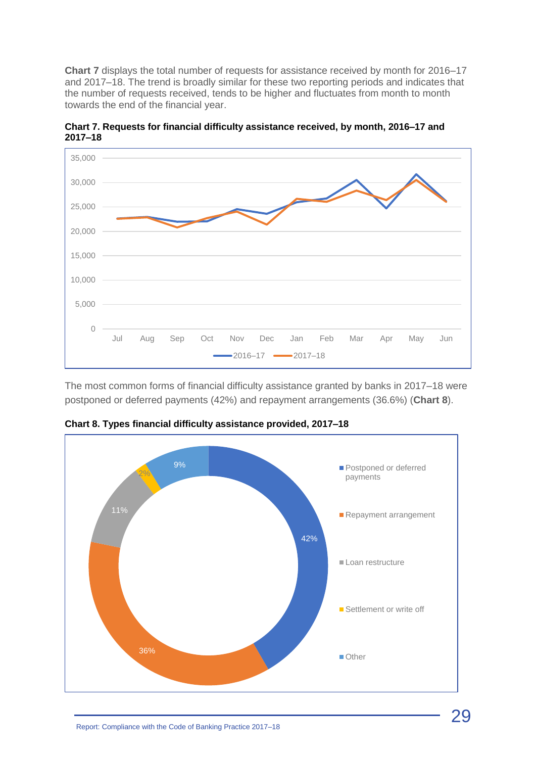**Chart 7** displays the total number of requests for assistance received by month for 2016–17 and 2017–18. The trend is broadly similar for these two reporting periods and indicates that the number of requests received, tends to be higher and fluctuates from month to month towards the end of the financial year.



**Chart 7. Requests for financial difficulty assistance received, by month, 2016–17 and 2017–18**

The most common forms of financial difficulty assistance granted by banks in 2017–18 were postponed or deferred payments (42%) and repayment arrangements (36.6%) (**Chart 8**).



**Chart 8. Types financial difficulty assistance provided, 2017–18**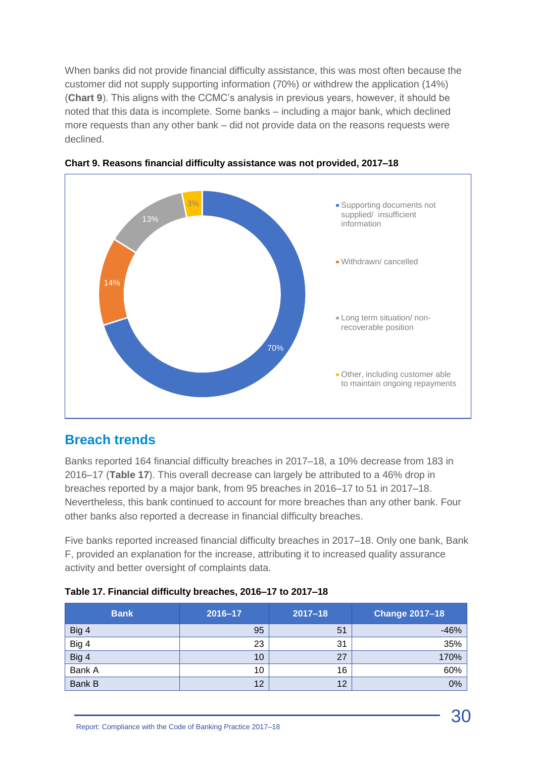When banks did not provide financial difficulty assistance, this was most often because the customer did not supply supporting information (70%) or withdrew the application (14%) (**Chart 9**). This aligns with the CCMC's analysis in previous years, however, it should be noted that this data is incomplete. Some banks – including a major bank, which declined more requests than any other bank – did not provide data on the reasons requests were declined.





#### **Breach trends**

Banks reported 164 financial difficulty breaches in 2017–18, a 10% decrease from 183 in 2016–17 (**Table 17**). This overall decrease can largely be attributed to a 46% drop in breaches reported by a major bank, from 95 breaches in 2016–17 to 51 in 2017–18. Nevertheless, this bank continued to account for more breaches than any other bank. Four other banks also reported a decrease in financial difficulty breaches.

Five banks reported increased financial difficulty breaches in 2017–18. Only one bank, Bank F, provided an explanation for the increase, attributing it to increased quality assurance activity and better oversight of complaints data.

| <b>Bank</b> | 2016-17 | $2017 - 18$ | <b>Change 2017-18</b> |
|-------------|---------|-------------|-----------------------|
| Big 4       | 95      | 51          | $-46%$                |
| Big 4       | 23      | 31          | 35%                   |
| Big 4       | 10      | 27          | 170%                  |
| Bank A      | 10      | 16          | 60%                   |
| Bank B      | 12      | 12          | 0%                    |

|  |  | Table 17. Financial difficulty breaches, 2016-17 to 2017-18 |
|--|--|-------------------------------------------------------------|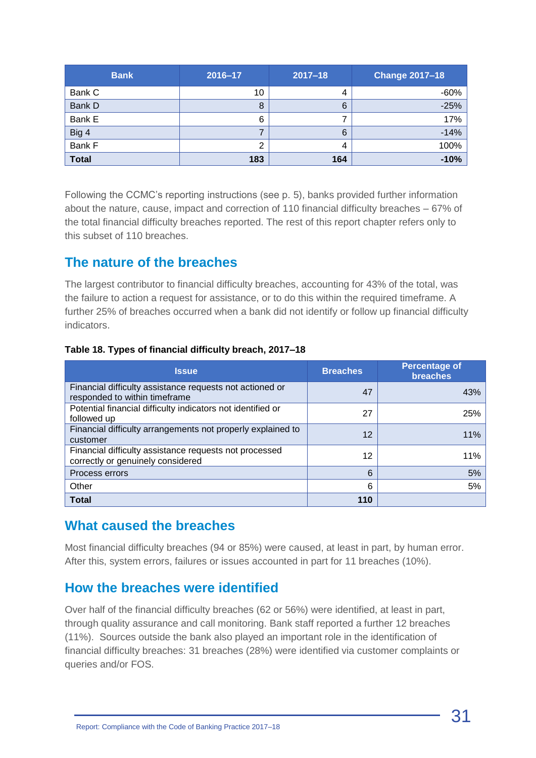| <b>Bank</b>  | 2016-17 | $2017 - 18$ | <b>Change 2017-18</b> |
|--------------|---------|-------------|-----------------------|
| Bank C       | 10      | 4           | $-60%$                |
| Bank D       | 8       | 6           | $-25%$                |
| Bank E       | 6       |             | 17%                   |
| Big 4        |         | 6           | $-14%$                |
| Bank F       | ◠       | 4           | 100%                  |
| <b>Total</b> | 183     | 164         | $-10%$                |

Following the CCMC's reporting instructions (see p. 5), banks provided further information about the nature, cause, impact and correction of 110 financial difficulty breaches – 67% of the total financial difficulty breaches reported. The rest of this report chapter refers only to this subset of 110 breaches.

#### **The nature of the breaches**

The largest contributor to financial difficulty breaches, accounting for 43% of the total, was the failure to action a request for assistance, or to do this within the required timeframe. A further 25% of breaches occurred when a bank did not identify or follow up financial difficulty indicators.

#### **Table 18. Types of financial difficulty breach, 2017–18**

| <b>Issue</b>                                                                                | <b>Breaches</b> | <b>Percentage of</b><br><b>breaches</b> |
|---------------------------------------------------------------------------------------------|-----------------|-----------------------------------------|
| Financial difficulty assistance requests not actioned or<br>responded to within timeframe   | 47              | 43%                                     |
| Potential financial difficulty indicators not identified or<br>followed up                  | 27              | 25%                                     |
| Financial difficulty arrangements not properly explained to<br>customer                     | 12              | 11%                                     |
| Financial difficulty assistance requests not processed<br>correctly or genuinely considered | 12              | 11%                                     |
| Process errors                                                                              | 6               | 5%                                      |
| Other                                                                                       | 6               | 5%                                      |
| <b>Total</b>                                                                                | 110             |                                         |

#### **What caused the breaches**

Most financial difficulty breaches (94 or 85%) were caused, at least in part, by human error. After this, system errors, failures or issues accounted in part for 11 breaches (10%).

#### **How the breaches were identified**

Over half of the financial difficulty breaches (62 or 56%) were identified, at least in part, through quality assurance and call monitoring. Bank staff reported a further 12 breaches (11%). Sources outside the bank also played an important role in the identification of financial difficulty breaches: 31 breaches (28%) were identified via customer complaints or queries and/or FOS.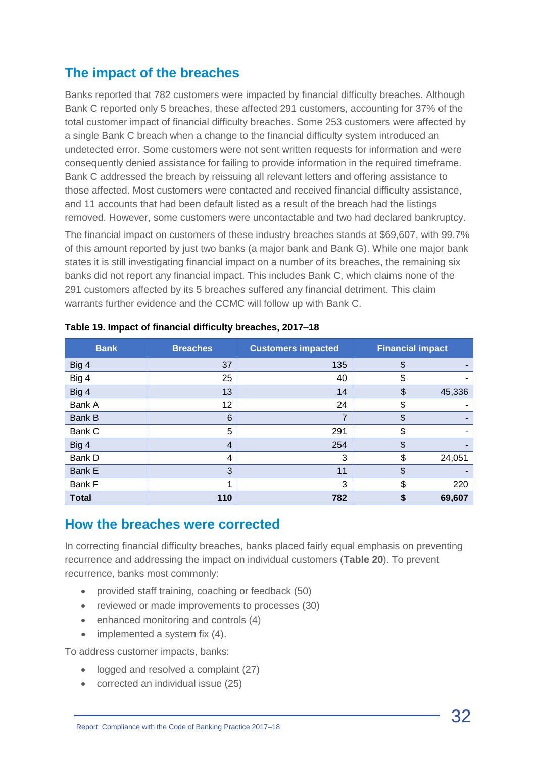### **The impact of the breaches**

Banks reported that 782 customers were impacted by financial difficulty breaches. Although Bank C reported only 5 breaches, these affected 291 customers, accounting for 37% of the total customer impact of financial difficulty breaches. Some 253 customers were affected by a single Bank C breach when a change to the financial difficulty system introduced an undetected error. Some customers were not sent written requests for information and were consequently denied assistance for failing to provide information in the required timeframe. Bank C addressed the breach by reissuing all relevant letters and offering assistance to those affected. Most customers were contacted and received financial difficulty assistance, and 11 accounts that had been default listed as a result of the breach had the listings removed. However, some customers were uncontactable and two had declared bankruptcy.

The financial impact on customers of these industry breaches stands at \$69,607, with 99.7% of this amount reported by just two banks (a major bank and Bank G). While one major bank states it is still investigating financial impact on a number of its breaches, the remaining six banks did not report any financial impact. This includes Bank C, which claims none of the 291 customers affected by its 5 breaches suffered any financial detriment. This claim warrants further evidence and the CCMC will follow up with Bank C.

| <b>Bank</b>   | <b>Breaches</b> | <b>Customers impacted</b> | <b>Financial impact</b> |
|---------------|-----------------|---------------------------|-------------------------|
| Big 4         | 37              | 135                       | \$                      |
| Big 4         | 25              | 40                        | \$                      |
| Big 4         | 13              | 14                        | \$<br>45,336            |
| Bank A        | 12              | 24                        | \$                      |
| <b>Bank B</b> | 6               | 7                         | \$                      |
| Bank C        | 5               | 291                       | \$                      |
| Big 4         | $\overline{4}$  | 254                       | \$                      |
| Bank D        | 4               | 3                         | \$<br>24,051            |
| Bank E        | 3               | 11                        | \$                      |
| Bank F        |                 | 3                         | 220<br>\$               |
| <b>Total</b>  | 110             | 782                       | 69,607<br>\$            |

**Table 19. Impact of financial difficulty breaches, 2017–18**

#### **How the breaches were corrected**

In correcting financial difficulty breaches, banks placed fairly equal emphasis on preventing recurrence and addressing the impact on individual customers (**Table 20**). To prevent recurrence, banks most commonly:

- provided staff training, coaching or feedback (50)
- reviewed or made improvements to processes (30)
- enhanced monitoring and controls (4)
- implemented a system fix (4).

To address customer impacts, banks:

- logged and resolved a complaint (27)
- corrected an individual issue (25)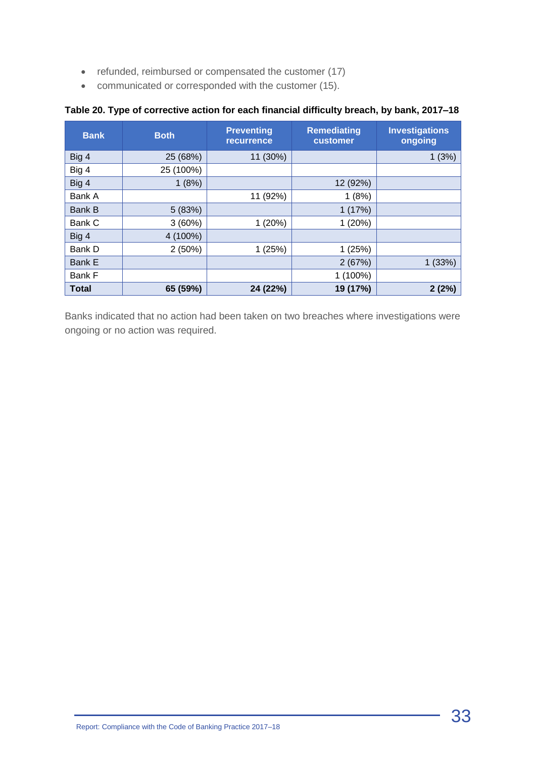- refunded, reimbursed or compensated the customer (17)
- communicated or corresponded with the customer (15).

| <b>Bank</b>   | <b>Both</b> | <b>Preventing</b><br><b>recurrence</b> | <b>Remediating</b><br>customer | <b>Investigations</b><br>ongoing |
|---------------|-------------|----------------------------------------|--------------------------------|----------------------------------|
| Big 4         | 25 (68%)    | 11 (30%)                               |                                | 1(3%)                            |
| Big 4         | 25 (100%)   |                                        |                                |                                  |
| Big 4         | 1(8%)       |                                        | 12 (92%)                       |                                  |
| Bank A        |             | 11 (92%)                               | 1(8%)                          |                                  |
| <b>Bank B</b> | 5 (83%)     |                                        | 1(17%)                         |                                  |
| Bank C        | 3(60%)      | 1(20%)                                 | 1(20%)                         |                                  |
| Big 4         | 4 (100%)    |                                        |                                |                                  |
| Bank D        | 2(50%)      | 1(25%)                                 | 1(25%)                         |                                  |
| Bank E        |             |                                        | 2(67%)                         | 1(33%)                           |
| Bank F        |             |                                        | 1 (100%)                       |                                  |
| <b>Total</b>  | 65 (59%)    | 24 (22%)                               | 19 (17%)                       | 2(2%)                            |

#### **Table 20. Type of corrective action for each financial difficulty breach, by bank, 2017–18**

Banks indicated that no action had been taken on two breaches where investigations were ongoing or no action was required.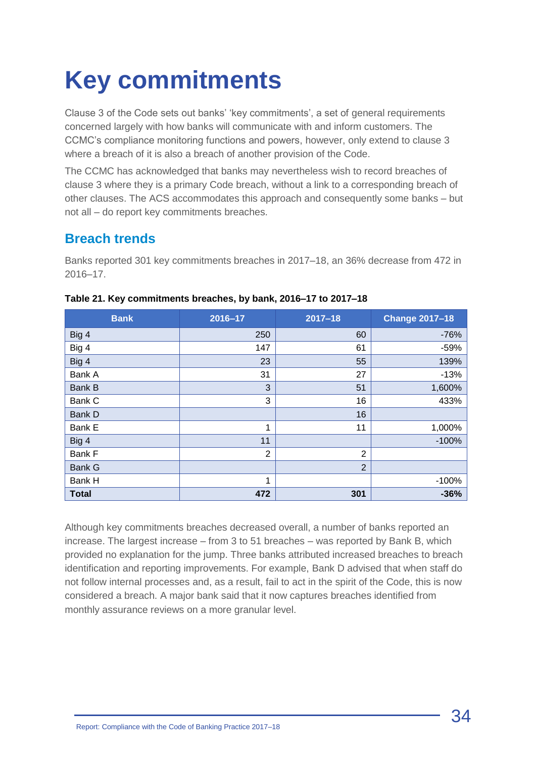## <span id="page-33-0"></span>**Key commitments**

Clause 3 of the Code sets out banks' 'key commitments', a set of general requirements concerned largely with how banks will communicate with and inform customers. The CCMC's compliance monitoring functions and powers, however, only extend to clause 3 where a breach of it is also a breach of another provision of the Code.

The CCMC has acknowledged that banks may nevertheless wish to record breaches of clause 3 where they is a primary Code breach, without a link to a corresponding breach of other clauses. The ACS accommodates this approach and consequently some banks – but not all – do report key commitments breaches.

### **Breach trends**

Banks reported 301 key commitments breaches in 2017–18, an 36% decrease from 472 in 2016–17.

| <b>Bank</b>   | 2016-17        | $2017 - 18$    | <b>Change 2017-18</b> |
|---------------|----------------|----------------|-----------------------|
| Big 4         | 250            | 60             | $-76%$                |
| Big 4         | 147            | 61             | $-59%$                |
| Big 4         | 23             | 55             | 139%                  |
| Bank A        | 31             | 27             | $-13%$                |
| Bank B        | 3              | 51             | 1,600%                |
| Bank C        | 3              | 16             | 433%                  |
| Bank D        |                | 16             |                       |
| Bank E        | 1              | 11             | 1,000%                |
| Big 4         | 11             |                | $-100%$               |
| Bank F        | $\overline{2}$ | $\overline{2}$ |                       |
| <b>Bank G</b> |                | $\overline{2}$ |                       |
| Bank H        | 1              |                | $-100%$               |
| <b>Total</b>  | 472            | 301            | $-36%$                |

#### **Table 21. Key commitments breaches, by bank, 2016–17 to 2017–18**

Although key commitments breaches decreased overall, a number of banks reported an increase. The largest increase – from 3 to 51 breaches – was reported by Bank B, which provided no explanation for the jump. Three banks attributed increased breaches to breach identification and reporting improvements. For example, Bank D advised that when staff do not follow internal processes and, as a result, fail to act in the spirit of the Code, this is now considered a breach. A major bank said that it now captures breaches identified from monthly assurance reviews on a more granular level.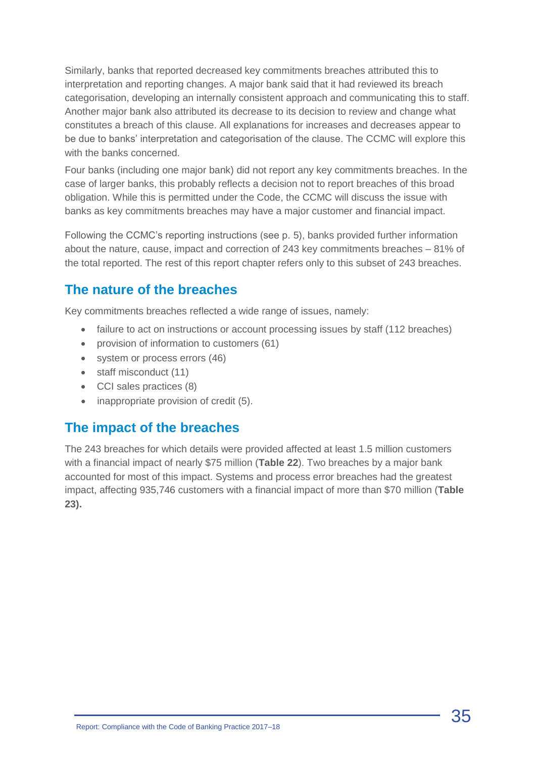Similarly, banks that reported decreased key commitments breaches attributed this to interpretation and reporting changes. A major bank said that it had reviewed its breach categorisation, developing an internally consistent approach and communicating this to staff. Another major bank also attributed its decrease to its decision to review and change what constitutes a breach of this clause. All explanations for increases and decreases appear to be due to banks' interpretation and categorisation of the clause. The CCMC will explore this with the banks concerned.

Four banks (including one major bank) did not report any key commitments breaches. In the case of larger banks, this probably reflects a decision not to report breaches of this broad obligation. While this is permitted under the Code, the CCMC will discuss the issue with banks as key commitments breaches may have a major customer and financial impact.

Following the CCMC's reporting instructions (see p. 5), banks provided further information about the nature, cause, impact and correction of 243 key commitments breaches – 81% of the total reported. The rest of this report chapter refers only to this subset of 243 breaches.

### **The nature of the breaches**

Key commitments breaches reflected a wide range of issues, namely:

- failure to act on instructions or account processing issues by staff (112 breaches)
- provision of information to customers (61)
- system or process errors (46)
- staff misconduct (11)
- CCI sales practices (8)
- inappropriate provision of credit (5).

#### **The impact of the breaches**

The 243 breaches for which details were provided affected at least 1.5 million customers with a financial impact of nearly \$75 million (**Table 22**). Two breaches by a major bank accounted for most of this impact. Systems and process error breaches had the greatest impact, affecting 935,746 customers with a financial impact of more than \$70 million (**Table 23).**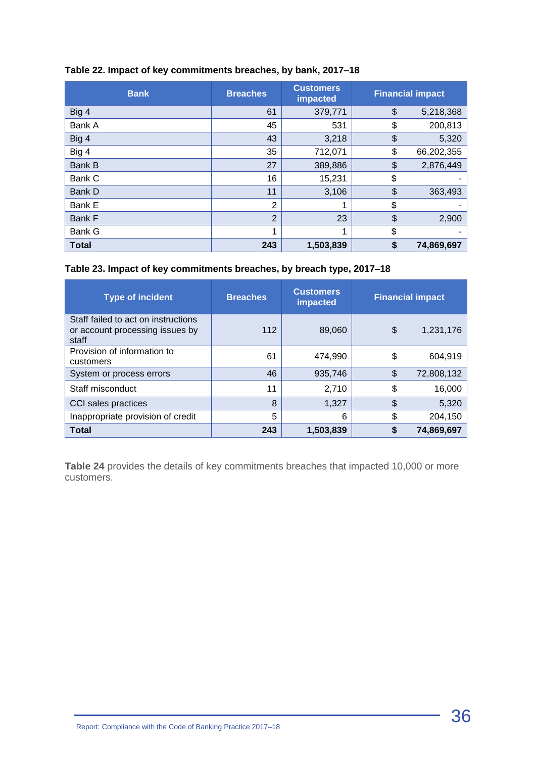| <b>Bank</b>   | <b>Breaches</b> | <b>Customers</b><br>impacted |               | <b>Financial impact</b> |
|---------------|-----------------|------------------------------|---------------|-------------------------|
| Big 4         | 61              | 379,771                      | $\frac{1}{2}$ | 5,218,368               |
| Bank A        | 45              | 531                          | \$            | 200,813                 |
| Big 4         | 43              | 3,218                        | \$            | 5,320                   |
| Big 4         | 35              | 712,071                      | \$            | 66,202,355              |
| Bank B        | 27              | 389,886                      | \$            | 2,876,449               |
| Bank C        | 16              | 15,231                       | \$            |                         |
| Bank D        | 11              | 3,106                        | \$            | 363,493                 |
| Bank E        | $\overline{2}$  | 1                            | \$            |                         |
| <b>Bank F</b> | $\overline{2}$  | 23                           | $\frac{1}{2}$ | 2,900                   |
| Bank G        | 1               | 1                            | \$            |                         |
| <b>Total</b>  | 243             | 1,503,839                    | \$            | 74,869,697              |

#### **Table 22. Impact of key commitments breaches, by bank, 2017–18**

#### **Table 23. Impact of key commitments breaches, by breach type, 2017–18**

| <b>Type of incident</b>                                                         | <b>Breaches</b> | <b>Customers</b><br>impacted | <b>Financial impact</b> |
|---------------------------------------------------------------------------------|-----------------|------------------------------|-------------------------|
| Staff failed to act on instructions<br>or account processing issues by<br>staff | 112             | 89,060                       | \$<br>1,231,176         |
| Provision of information to<br>customers                                        | 61              | 474,990                      | \$<br>604,919           |
| System or process errors                                                        | 46              | 935,746                      | \$<br>72,808,132        |
| Staff misconduct                                                                | 11              | 2,710                        | \$<br>16,000            |
| CCI sales practices                                                             | 8               | 1,327                        | \$<br>5,320             |
| Inappropriate provision of credit                                               | 5               | 6                            | \$<br>204,150           |
| <b>Total</b>                                                                    | 243             | 1,503,839                    | 74.869.697              |

**Table 24** provides the details of key commitments breaches that impacted 10,000 or more customers.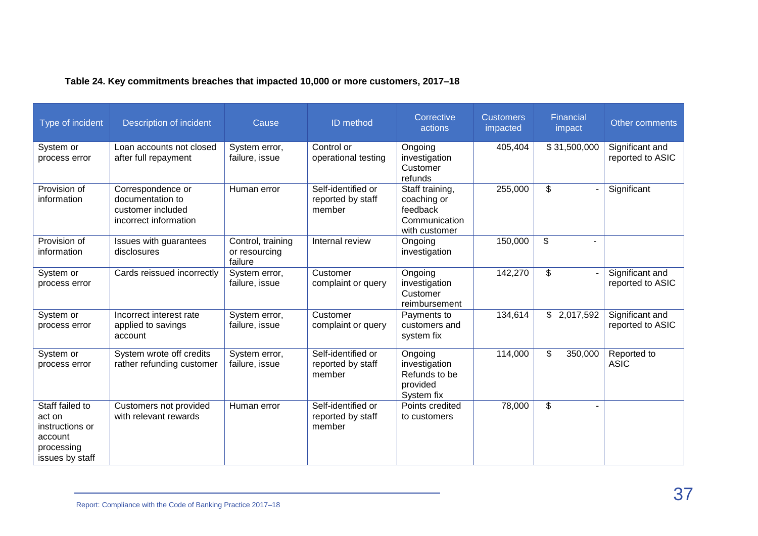| Type of incident                                                                         | Description of incident                                                             | Cause                                         | ID method                                         | Corrective<br>actions                                                        | <b>Customers</b><br>impacted | Financial<br>impact         | Other comments                      |
|------------------------------------------------------------------------------------------|-------------------------------------------------------------------------------------|-----------------------------------------------|---------------------------------------------------|------------------------------------------------------------------------------|------------------------------|-----------------------------|-------------------------------------|
| System or<br>process error                                                               | Loan accounts not closed<br>after full repayment                                    | System error,<br>failure, issue               | Control or<br>operational testing                 | Ongoing<br>investigation<br>Customer<br>refunds                              | 405,404                      | \$31,500,000                | Significant and<br>reported to ASIC |
| Provision of<br>information                                                              | Correspondence or<br>documentation to<br>customer included<br>incorrect information | Human error                                   | Self-identified or<br>reported by staff<br>member | Staff training,<br>coaching or<br>feedback<br>Communication<br>with customer | 255,000                      | \$                          | Significant                         |
| Provision of<br>information                                                              | Issues with guarantees<br>disclosures                                               | Control, training<br>or resourcing<br>failure | Internal review                                   | Ongoing<br>investigation                                                     | 150,000                      | \$                          |                                     |
| System or<br>process error                                                               | Cards reissued incorrectly                                                          | System error,<br>failure, issue               | Customer<br>complaint or query                    | Ongoing<br>investigation<br>Customer<br>reimbursement                        | 142,270                      | \$                          | Significant and<br>reported to ASIC |
| System or<br>process error                                                               | Incorrect interest rate<br>applied to savings<br>account                            | System error,<br>failure, issue               | Customer<br>complaint or query                    | Payments to<br>customers and<br>system fix                                   | 134,614                      | $\mathfrak{S}$<br>2,017,592 | Significant and<br>reported to ASIC |
| System or<br>process error                                                               | System wrote off credits<br>rather refunding customer                               | System error,<br>failure, issue               | Self-identified or<br>reported by staff<br>member | Ongoing<br>investigation<br>Refunds to be<br>provided<br>System fix          | 114,000                      | \$<br>350,000               | Reported to<br><b>ASIC</b>          |
| Staff failed to<br>act on<br>instructions or<br>account<br>processing<br>issues by staff | Customers not provided<br>with relevant rewards                                     | Human error                                   | Self-identified or<br>reported by staff<br>member | Points credited<br>to customers                                              | 78,000                       | \$                          |                                     |

#### **Table 24. Key commitments breaches that impacted 10,000 or more customers, 2017–18**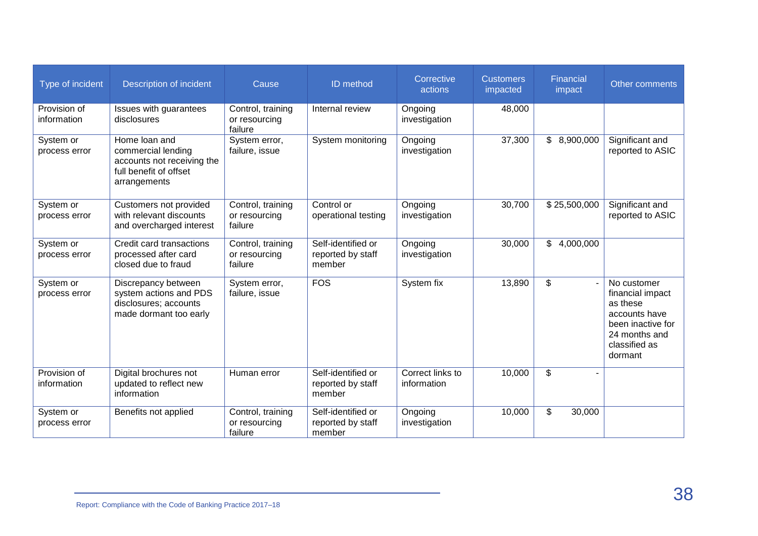| Type of incident            | Description of incident                                                                                     | Cause                                         | ID method                                         | Corrective<br>actions           | <b>Customers</b><br>impacted | Financial<br>impact | Other comments                                                                                                                 |
|-----------------------------|-------------------------------------------------------------------------------------------------------------|-----------------------------------------------|---------------------------------------------------|---------------------------------|------------------------------|---------------------|--------------------------------------------------------------------------------------------------------------------------------|
| Provision of<br>information | Issues with guarantees<br>disclosures                                                                       | Control, training<br>or resourcing<br>failure | Internal review                                   | Ongoing<br>investigation        | 48,000                       |                     |                                                                                                                                |
| System or<br>process error  | Home loan and<br>commercial lending<br>accounts not receiving the<br>full benefit of offset<br>arrangements | System error,<br>failure, issue               | System monitoring                                 | Ongoing<br>investigation        | 37,300                       | \$8,900,000         | Significant and<br>reported to ASIC                                                                                            |
| System or<br>process error  | Customers not provided<br>with relevant discounts<br>and overcharged interest                               | Control, training<br>or resourcing<br>failure | Control or<br>operational testing                 | Ongoing<br>investigation        | 30,700                       | \$25,500,000        | Significant and<br>reported to ASIC                                                                                            |
| System or<br>process error  | Credit card transactions<br>processed after card<br>closed due to fraud                                     | Control, training<br>or resourcing<br>failure | Self-identified or<br>reported by staff<br>member | Ongoing<br>investigation        | 30,000                       | \$<br>4,000,000     |                                                                                                                                |
| System or<br>process error  | Discrepancy between<br>system actions and PDS<br>disclosures; accounts<br>made dormant too early            | System error,<br>failure, issue               | FOS                                               | System fix                      | 13,890                       | \$                  | No customer<br>financial impact<br>as these<br>accounts have<br>been inactive for<br>24 months and<br>classified as<br>dormant |
| Provision of<br>information | Digital brochures not<br>updated to reflect new<br>information                                              | Human error                                   | Self-identified or<br>reported by staff<br>member | Correct links to<br>information | 10,000                       | \$                  |                                                                                                                                |
| System or<br>process error  | Benefits not applied                                                                                        | Control, training<br>or resourcing<br>failure | Self-identified or<br>reported by staff<br>member | Ongoing<br>investigation        | 10,000                       | \$<br>30,000        |                                                                                                                                |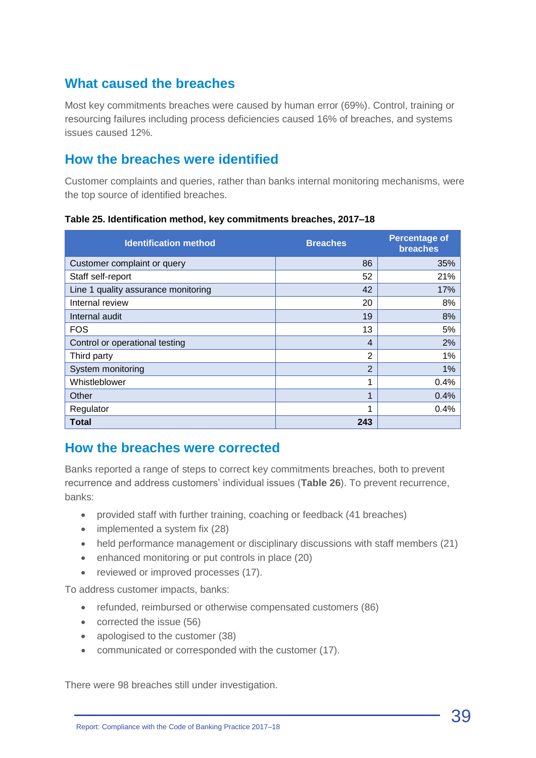### **What caused the breaches**

Most key commitments breaches were caused by human error (69%). Control, training or resourcing failures including process deficiencies caused 16% of breaches, and systems issues caused 12%.

#### **How the breaches were identified**

Customer complaints and queries, rather than banks internal monitoring mechanisms, were the top source of identified breaches.

| <b>Identification method</b>        | <b>Breaches</b> | <b>Percentage of</b><br><b>breaches</b> |
|-------------------------------------|-----------------|-----------------------------------------|
| Customer complaint or query         | 86              | 35%                                     |
| Staff self-report                   | 52              | 21%                                     |
| Line 1 quality assurance monitoring | 42              | 17%                                     |
| Internal review                     | 20              | 8%                                      |
| Internal audit                      | 19              | 8%                                      |
| <b>FOS</b>                          | 13              | 5%                                      |
| Control or operational testing      | 4               | 2%                                      |
| Third party                         | $\overline{2}$  | 1%                                      |
| System monitoring                   | $\overline{2}$  | 1%                                      |
| Whistleblower                       | 1               | 0.4%                                    |
| Other                               | 1               | 0.4%                                    |
| Regulator                           | 1               | 0.4%                                    |
| <b>Total</b>                        | 243             |                                         |

**Table 25. Identification method, key commitments breaches, 2017–18**

#### **How the breaches were corrected**

Banks reported a range of steps to correct key commitments breaches, both to prevent recurrence and address customers' individual issues (**Table 26**). To prevent recurrence, banks:

- provided staff with further training, coaching or feedback (41 breaches)
- implemented a system fix (28)
- held performance management or disciplinary discussions with staff members (21)
- enhanced monitoring or put controls in place (20)
- reviewed or improved processes (17).

To address customer impacts, banks:

- refunded, reimbursed or otherwise compensated customers (86)
- corrected the issue (56)
- apologised to the customer (38)
- communicated or corresponded with the customer (17).

There were 98 breaches still under investigation.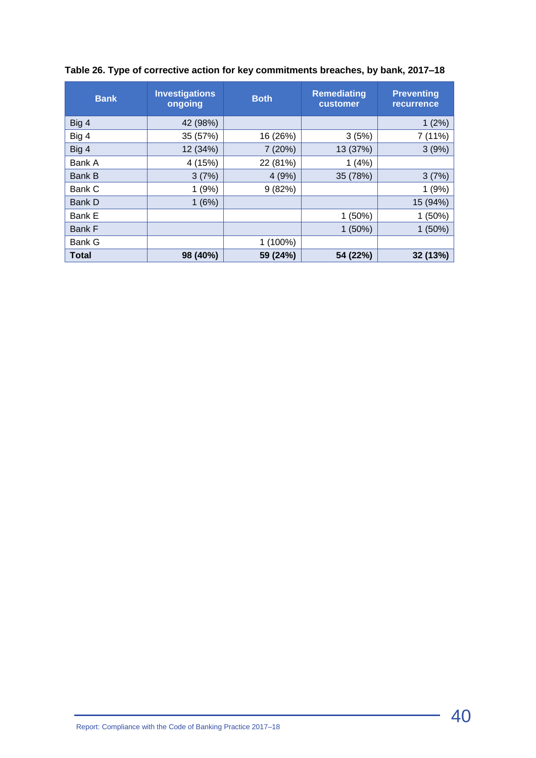| <b>Bank</b>   | <b>Investigations</b><br>ongoing | <b>Both</b> | <b>Remediating</b><br>customer | <b>Preventing</b><br>recurrence |
|---------------|----------------------------------|-------------|--------------------------------|---------------------------------|
| Big 4         | 42 (98%)                         |             |                                | 1(2%)                           |
| Big 4         | 35 (57%)                         | 16 (26%)    | 3(5%)                          | 7 (11%)                         |
| Big 4         | 12 (34%)                         | 7(20%)      | 13 (37%)                       | 3(9%)                           |
| Bank A        | 4 (15%)                          | 22 (81%)    | 1(4%)                          |                                 |
| <b>Bank B</b> | 3(7%)                            | 4(9%)       | 35 (78%)                       | 3(7%)                           |
| Bank C        | 1(9%)                            | 9(82%)      |                                | 1(9%)                           |
| Bank D        | 1(6%)                            |             |                                | 15 (94%)                        |
| Bank E        |                                  |             | 1(50%)                         | 1(50%)                          |
| <b>Bank F</b> |                                  |             | 1(50%)                         | $1(50\%)$                       |
| <b>Bank G</b> |                                  | $1(100\%)$  |                                |                                 |
| <b>Total</b>  | 98 (40%)                         | 59 (24%)    | 54 (22%)                       | 32 (13%)                        |

#### **Table 26. Type of corrective action for key commitments breaches, by bank, 2017–18**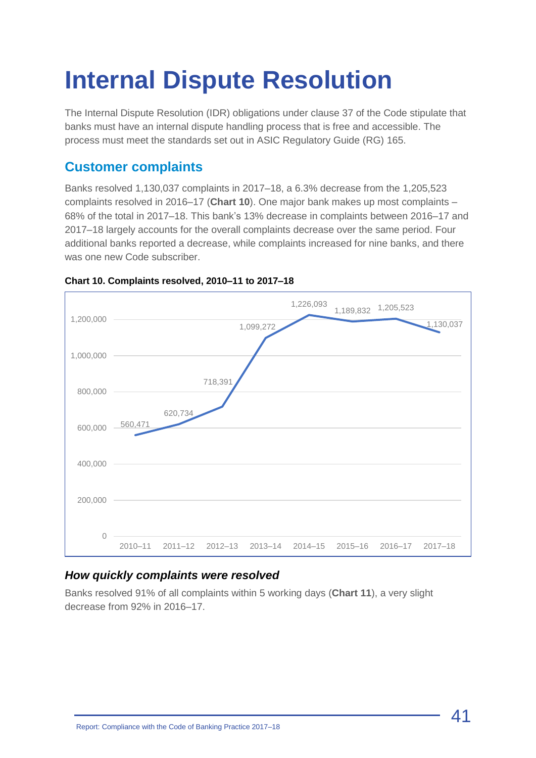## <span id="page-40-0"></span>**Internal Dispute Resolution**

The Internal Dispute Resolution (IDR) obligations under clause 37 of the Code stipulate that banks must have an internal dispute handling process that is free and accessible. The process must meet the standards set out in ASIC Regulatory Guide (RG) 165.

## **Customer complaints**

Banks resolved 1,130,037 complaints in 2017–18, a 6.3% decrease from the 1,205,523 complaints resolved in 2016–17 (**Chart 10**). One major bank makes up most complaints – 68% of the total in 2017–18. This bank's 13% decrease in complaints between 2016–17 and 2017–18 largely accounts for the overall complaints decrease over the same period. Four additional banks reported a decrease, while complaints increased for nine banks, and there was one new Code subscriber.



#### **Chart 10. Complaints resolved, 2010–11 to 2017–18**

#### *How quickly complaints were resolved*

Banks resolved 91% of all complaints within 5 working days (**Chart 11**), a very slight decrease from 92% in 2016–17.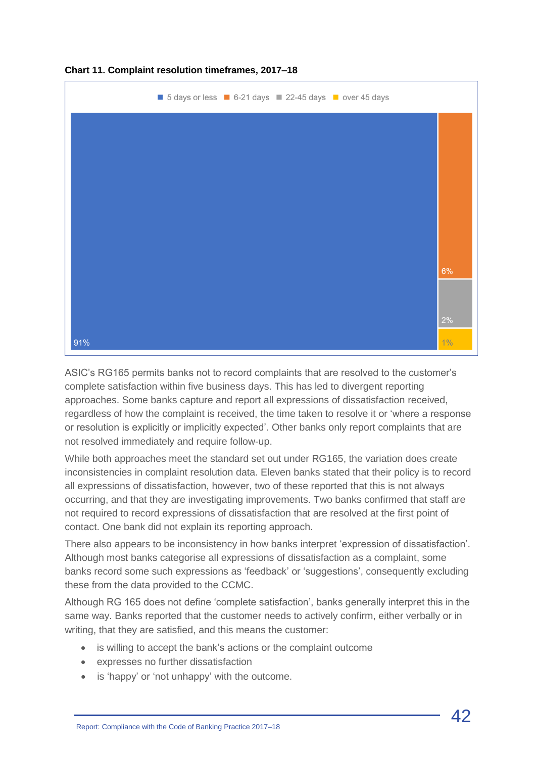

#### **Chart 11. Complaint resolution timeframes, 2017–18**

ASIC's RG165 permits banks not to record complaints that are resolved to the customer's complete satisfaction within five business days. This has led to divergent reporting approaches. Some banks capture and report all expressions of dissatisfaction received, regardless of how the complaint is received, the time taken to resolve it or 'where a response or resolution is explicitly or implicitly expected'. Other banks only report complaints that are not resolved immediately and require follow-up.

While both approaches meet the standard set out under RG165, the variation does create inconsistencies in complaint resolution data. Eleven banks stated that their policy is to record all expressions of dissatisfaction, however, two of these reported that this is not always occurring, and that they are investigating improvements. Two banks confirmed that staff are not required to record expressions of dissatisfaction that are resolved at the first point of contact. One bank did not explain its reporting approach.

There also appears to be inconsistency in how banks interpret 'expression of dissatisfaction'. Although most banks categorise all expressions of dissatisfaction as a complaint, some banks record some such expressions as 'feedback' or 'suggestions', consequently excluding these from the data provided to the CCMC.

Although RG 165 does not define 'complete satisfaction', banks generally interpret this in the same way. Banks reported that the customer needs to actively confirm, either verbally or in writing, that they are satisfied, and this means the customer:

- is willing to accept the bank's actions or the complaint outcome
- expresses no further dissatisfaction
- is 'happy' or 'not unhappy' with the outcome.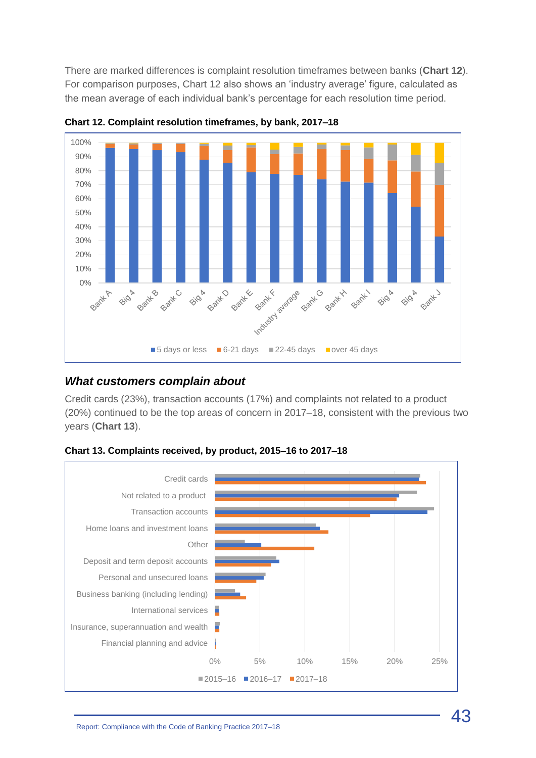There are marked differences is complaint resolution timeframes between banks (**Chart 12**). For comparison purposes, Chart 12 also shows an 'industry average' figure, calculated as the mean average of each individual bank's percentage for each resolution time period.



**Chart 12. Complaint resolution timeframes, by bank, 2017–18**

#### *What customers complain about*

Credit cards (23%), transaction accounts (17%) and complaints not related to a product (20%) continued to be the top areas of concern in 2017–18, consistent with the previous two years (**Chart 13**).

**Chart 13. Complaints received, by product, 2015–16 to 2017–18**

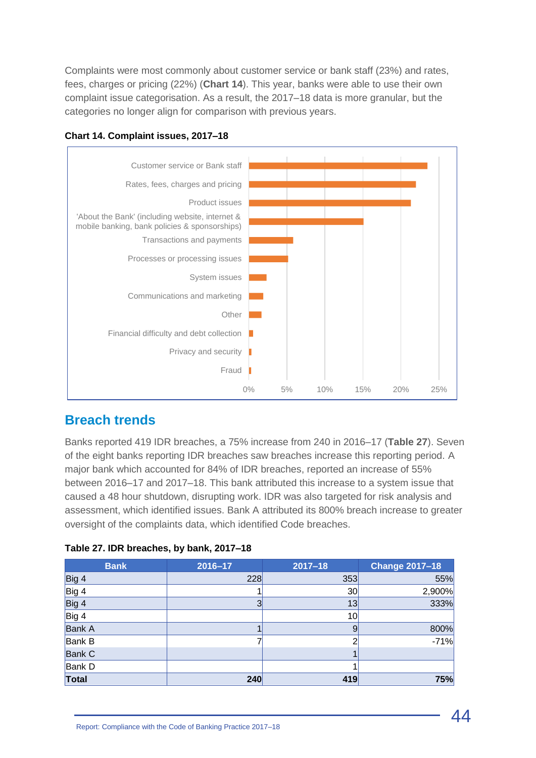Complaints were most commonly about customer service or bank staff (23%) and rates, fees, charges or pricing (22%) (**Chart 14**). This year, banks were able to use their own complaint issue categorisation. As a result, the 2017–18 data is more granular, but the categories no longer align for comparison with previous years.



**Chart 14. Complaint issues, 2017–18**

#### **Breach trends**

Banks reported 419 IDR breaches, a 75% increase from 240 in 2016–17 (**Table 27**). Seven of the eight banks reporting IDR breaches saw breaches increase this reporting period. A major bank which accounted for 84% of IDR breaches, reported an increase of 55% between 2016–17 and 2017–18. This bank attributed this increase to a system issue that caused a 48 hour shutdown, disrupting work. IDR was also targeted for risk analysis and assessment, which identified issues. Bank A attributed its 800% breach increase to greater oversight of the complaints data, which identified Code breaches.

| Table 27. IDR breaches, by bank, 2017-18 |  |  |  |
|------------------------------------------|--|--|--|
|------------------------------------------|--|--|--|

| <b>Bank</b>   | 2016-17 | $2017 - 18$ | <b>Change 2017-18</b> |
|---------------|---------|-------------|-----------------------|
| Big 4         | 228     | 353         | 55%                   |
| Big 4         |         | 30          | 2,900%                |
| Big 4         |         | 13          | 333%                  |
| Big 4         |         | 10          |                       |
| <b>Bank A</b> |         | 9           | 800%                  |
| <b>Bank B</b> |         | ◠           | $-71%$                |
| <b>Bank C</b> |         |             |                       |
| Bank D        |         |             |                       |
| Total         | 240     | 419         | 75%                   |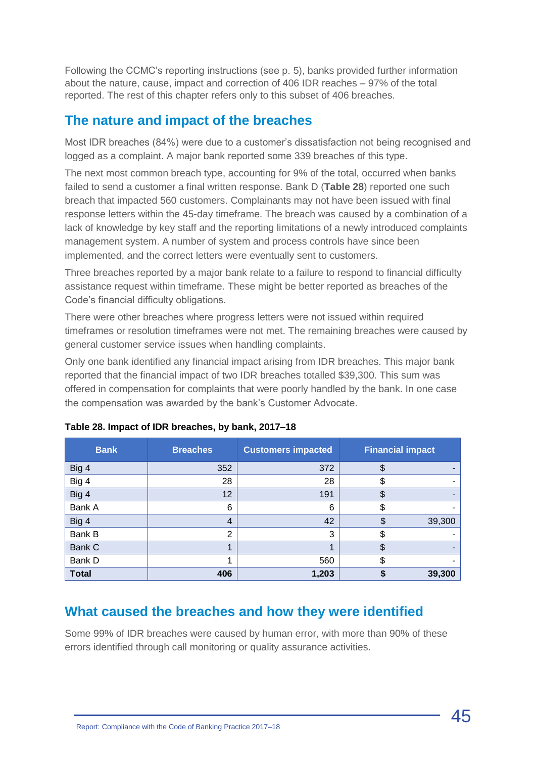Following the CCMC's reporting instructions (see p. 5), banks provided further information about the nature, cause, impact and correction of 406 IDR reaches – 97% of the total reported. The rest of this chapter refers only to this subset of 406 breaches.

#### **The nature and impact of the breaches**

Most IDR breaches (84%) were due to a customer's dissatisfaction not being recognised and logged as a complaint. A major bank reported some 339 breaches of this type.

The next most common breach type, accounting for 9% of the total, occurred when banks failed to send a customer a final written response. Bank D (**Table 28**) reported one such breach that impacted 560 customers. Complainants may not have been issued with final response letters within the 45-day timeframe. The breach was caused by a combination of a lack of knowledge by key staff and the reporting limitations of a newly introduced complaints management system. A number of system and process controls have since been implemented, and the correct letters were eventually sent to customers.

Three breaches reported by a major bank relate to a failure to respond to financial difficulty assistance request within timeframe. These might be better reported as breaches of the Code's financial difficulty obligations.

There were other breaches where progress letters were not issued within required timeframes or resolution timeframes were not met. The remaining breaches were caused by general customer service issues when handling complaints.

Only one bank identified any financial impact arising from IDR breaches. This major bank reported that the financial impact of two IDR breaches totalled \$39,300. This sum was offered in compensation for complaints that were poorly handled by the bank. In one case the compensation was awarded by the bank's Customer Advocate.

| <b>Bank</b>  | <b>Breaches</b> | <b>Customers impacted</b> | <b>Financial impact</b> |        |
|--------------|-----------------|---------------------------|-------------------------|--------|
| Big 4        | 352             | 372                       | \$                      |        |
| Big 4        | 28              | 28                        | S                       |        |
| Big 4        | 12              | 191                       | \$                      |        |
| Bank A       | 6               | 6                         | \$                      |        |
| Big 4        | $\overline{4}$  | 42                        | \$                      | 39,300 |
| Bank B       | $\overline{2}$  | 3                         | \$                      |        |
| Bank C       |                 | 1                         | \$                      |        |
| Bank D       |                 | 560                       | \$                      |        |
| <b>Total</b> | 406             | 1,203                     |                         | 39,300 |

|  | Table 28. Impact of IDR breaches, by bank, 2017–18 |  |
|--|----------------------------------------------------|--|
|  |                                                    |  |

#### **What caused the breaches and how they were identified**

Some 99% of IDR breaches were caused by human error, with more than 90% of these errors identified through call monitoring or quality assurance activities.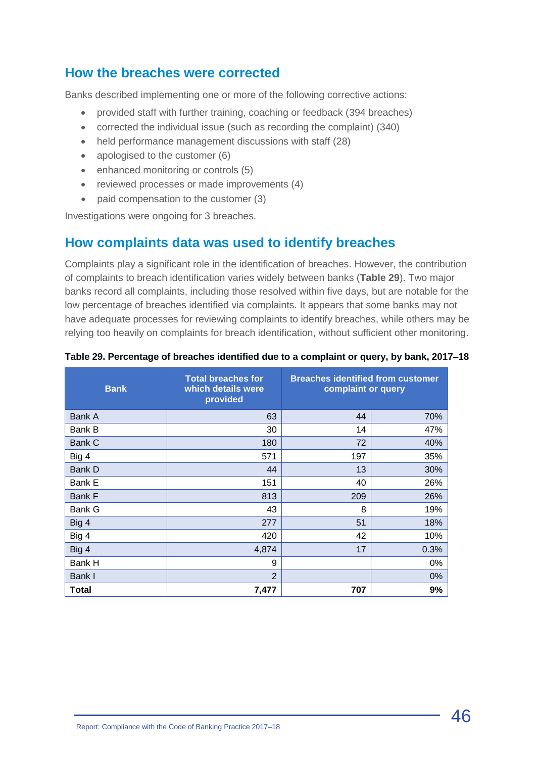#### **How the breaches were corrected**

Banks described implementing one or more of the following corrective actions:

- provided staff with further training, coaching or feedback (394 breaches)
- corrected the individual issue (such as recording the complaint) (340)
- held performance management discussions with staff (28)
- apologised to the customer (6)
- enhanced monitoring or controls (5)
- reviewed processes or made improvements (4)
- paid compensation to the customer (3)

Investigations were ongoing for 3 breaches.

#### **How complaints data was used to identify breaches**

Complaints play a significant role in the identification of breaches. However, the contribution of complaints to breach identification varies widely between banks (**Table 29**). Two major banks record all complaints, including those resolved within five days, but are notable for the low percentage of breaches identified via complaints. It appears that some banks may not have adequate processes for reviewing complaints to identify breaches, while others may be relying too heavily on complaints for breach identification, without sufficient other monitoring.

| <b>Bank</b>   | <b>Total breaches for</b><br>which details were<br>provided | <b>Breaches identified from customer</b><br>complaint or query |      |  |
|---------------|-------------------------------------------------------------|----------------------------------------------------------------|------|--|
| Bank A        | 63                                                          | 44                                                             | 70%  |  |
| Bank B        | 30                                                          | 14                                                             | 47%  |  |
| Bank C        | 180                                                         | 72                                                             | 40%  |  |
| Big 4         | 571                                                         | 197                                                            | 35%  |  |
| <b>Bank D</b> | 44                                                          | 13                                                             | 30%  |  |
| Bank E        | 151                                                         | 40                                                             | 26%  |  |
| Bank F        | 813                                                         | 209                                                            | 26%  |  |
| Bank G        | 43                                                          | 8                                                              | 19%  |  |
| Big 4         | 277                                                         | 51                                                             | 18%  |  |
| Big 4         | 420                                                         | 42                                                             | 10%  |  |
| Big 4         | 4,874                                                       | 17                                                             | 0.3% |  |
| Bank H        | 9                                                           |                                                                | 0%   |  |
| Bank I        | $\overline{2}$                                              |                                                                | 0%   |  |
| Total         | 7,477                                                       | 707                                                            | 9%   |  |

#### **Table 29. Percentage of breaches identified due to a complaint or query, by bank, 2017–18**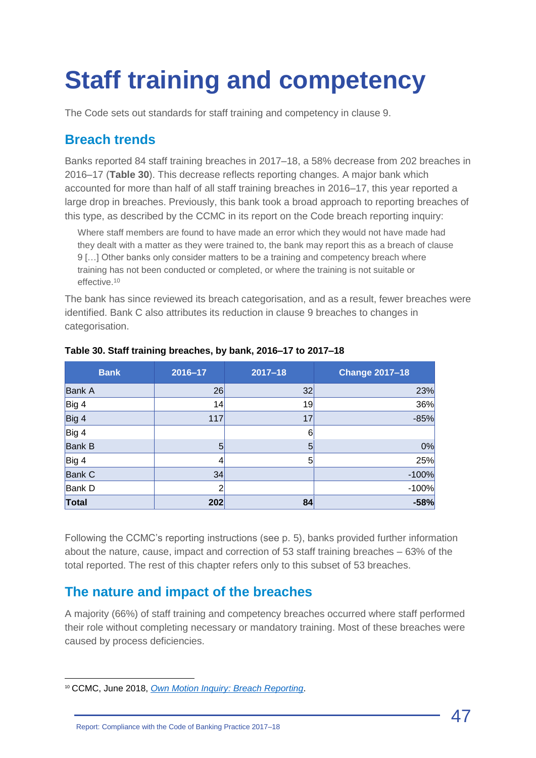## <span id="page-46-0"></span>**Staff training and competency**

The Code sets out standards for staff training and competency in clause 9.

#### **Breach trends**

Banks reported 84 staff training breaches in 2017–18, a 58% decrease from 202 breaches in 2016–17 (**Table 30**). This decrease reflects reporting changes. A major bank which accounted for more than half of all staff training breaches in 2016–17, this year reported a large drop in breaches. Previously, this bank took a broad approach to reporting breaches of this type, as described by the CCMC in its report on the Code breach reporting inquiry:

Where staff members are found to have made an error which they would not have made had they dealt with a matter as they were trained to, the bank may report this as a breach of clause 9 […] Other banks only consider matters to be a training and competency breach where training has not been conducted or completed, or where the training is not suitable or effective.<sup>10</sup>

The bank has since reviewed its breach categorisation, and as a result, fewer breaches were identified. Bank C also attributes its reduction in clause 9 breaches to changes in categorisation.

| <b>Bank</b>   | 2016-17 | $2017 - 18$ | <b>Change 2017-18</b> |
|---------------|---------|-------------|-----------------------|
| <b>Bank A</b> | 26      | 32          | 23%                   |
| Big 4         | 14      | 19          | 36%                   |
| Big 4         | 117     | 17          | $-85%$                |
| Big 4         |         | 6           |                       |
| <b>Bank B</b> | 5       | 5           | 0%                    |
| Big 4         |         | 5           | 25%                   |
| <b>Bank C</b> | 34      |             | $-100%$               |
| <b>Bank D</b> |         |             | $-100%$               |
| <b>Total</b>  | 202     | 84          | $-58%$                |

#### **Table 30. Staff training breaches, by bank, 2016–17 to 2017–18**

Following the CCMC's reporting instructions (see p. 5), banks provided further information about the nature, cause, impact and correction of 53 staff training breaches – 63% of the total reported. The rest of this chapter refers only to this subset of 53 breaches.

#### **The nature and impact of the breaches**

A majority (66%) of staff training and competency breaches occurred where staff performed their role without completing necessary or mandatory training. Most of these breaches were caused by process deficiencies.

<sup>10</sup> CCMC, June 2018, *[Own Motion Inquiry: Breach Reporting](http://www.ccmc.org.au/cms/wp-content/uploads/2018/06/CCMC-Inquiry-Report-Breach-Reporting-June-2018.pdf)*.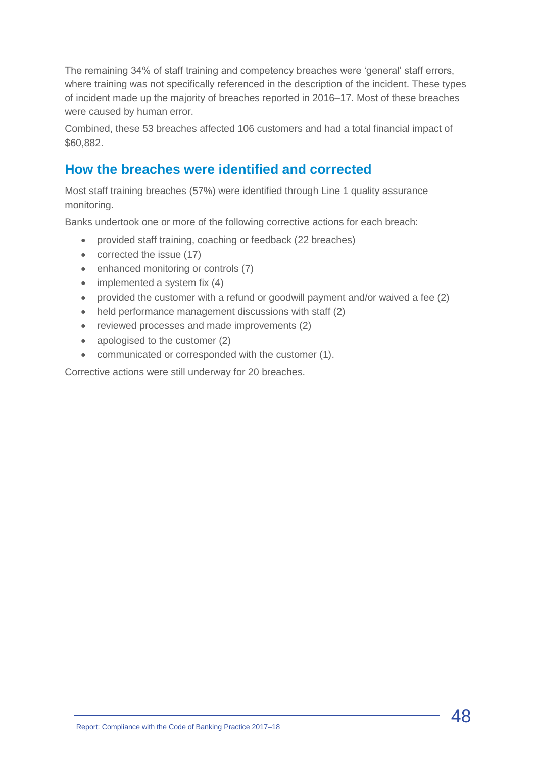The remaining 34% of staff training and competency breaches were 'general' staff errors, where training was not specifically referenced in the description of the incident. These types of incident made up the majority of breaches reported in 2016–17. Most of these breaches were caused by human error.

Combined, these 53 breaches affected 106 customers and had a total financial impact of \$60,882.

### **How the breaches were identified and corrected**

Most staff training breaches (57%) were identified through Line 1 quality assurance monitoring.

Banks undertook one or more of the following corrective actions for each breach:

- provided staff training, coaching or feedback (22 breaches)
- corrected the issue (17)
- enhanced monitoring or controls (7)
- $\bullet$  implemented a system fix (4)
- provided the customer with a refund or goodwill payment and/or waived a fee (2)
- held performance management discussions with staff (2)
- reviewed processes and made improvements (2)
- apologised to the customer (2)
- communicated or corresponded with the customer (1).

Corrective actions were still underway for 20 breaches.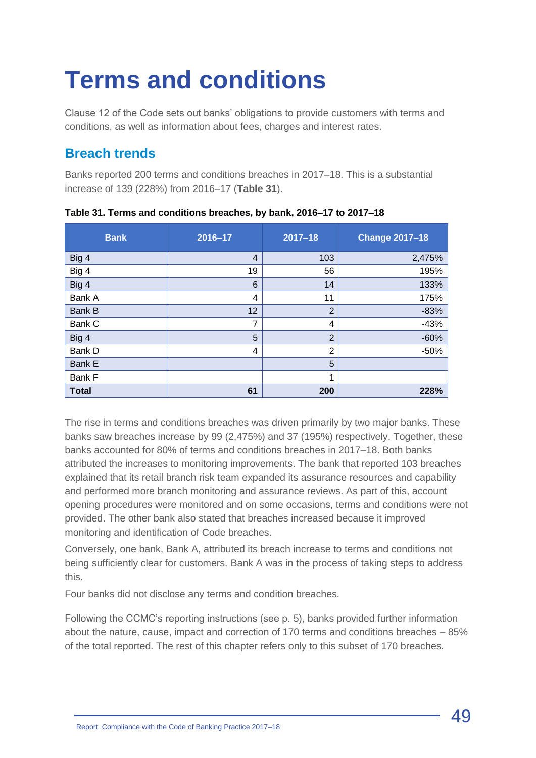## <span id="page-48-0"></span>**Terms and conditions**

Clause 12 of the Code sets out banks' obligations to provide customers with terms and conditions, as well as information about fees, charges and interest rates.

## **Breach trends**

Banks reported 200 terms and conditions breaches in 2017–18. This is a substantial increase of 139 (228%) from 2016–17 (**Table 31**).

| <b>Bank</b>  | 2016-17        | $2017 - 18$    | <b>Change 2017-18</b> |
|--------------|----------------|----------------|-----------------------|
| Big 4        | $\overline{4}$ | 103            | 2,475%                |
| Big 4        | 19             | 56             | 195%                  |
| Big 4        | 6              | 14             | 133%                  |
| Bank A       | 4              | 11             | 175%                  |
| Bank B       | 12             | $\overline{2}$ | $-83%$                |
| Bank C       | 7              | 4              | $-43%$                |
| Big 4        | 5              | $\overline{2}$ | $-60%$                |
| Bank D       | 4              | $\overline{2}$ | $-50%$                |
| Bank E       |                | 5              |                       |
| Bank F       |                | 1              |                       |
| <b>Total</b> | 61             | 200            | 228%                  |

**Table 31. Terms and conditions breaches, by bank, 2016–17 to 2017–18**

The rise in terms and conditions breaches was driven primarily by two major banks. These banks saw breaches increase by 99 (2,475%) and 37 (195%) respectively. Together, these banks accounted for 80% of terms and conditions breaches in 2017–18. Both banks attributed the increases to monitoring improvements. The bank that reported 103 breaches explained that its retail branch risk team expanded its assurance resources and capability and performed more branch monitoring and assurance reviews. As part of this, account opening procedures were monitored and on some occasions, terms and conditions were not provided. The other bank also stated that breaches increased because it improved monitoring and identification of Code breaches.

Conversely, one bank, Bank A, attributed its breach increase to terms and conditions not being sufficiently clear for customers. Bank A was in the process of taking steps to address this.

Four banks did not disclose any terms and condition breaches.

Following the CCMC's reporting instructions (see p. 5), banks provided further information about the nature, cause, impact and correction of 170 terms and conditions breaches – 85% of the total reported. The rest of this chapter refers only to this subset of 170 breaches.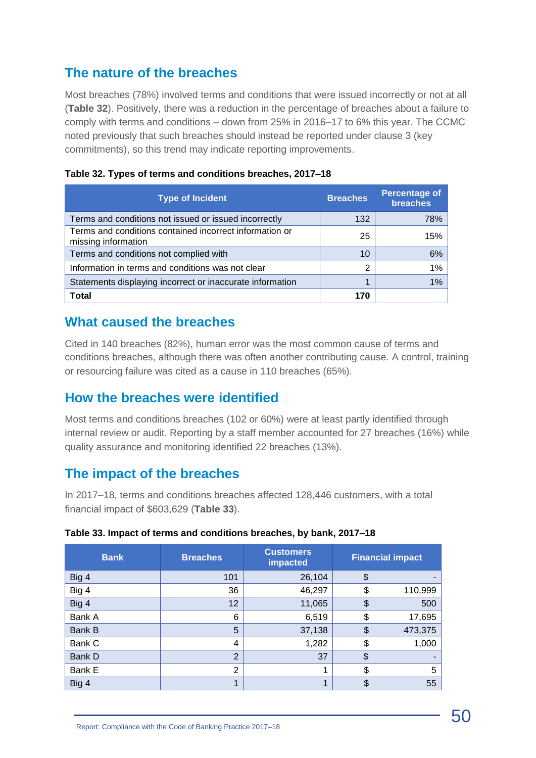## **The nature of the breaches**

Most breaches (78%) involved terms and conditions that were issued incorrectly or not at all (**Table 32**). Positively, there was a reduction in the percentage of breaches about a failure to comply with terms and conditions – down from 25% in 2016–17 to 6% this year. The CCMC noted previously that such breaches should instead be reported under clause 3 (key commitments), so this trend may indicate reporting improvements.

| <b>Type of Incident</b>                                                        | <b>Breaches</b> | <b>Percentage of</b><br><b>breaches</b> |
|--------------------------------------------------------------------------------|-----------------|-----------------------------------------|
| Terms and conditions not issued or issued incorrectly                          | 132             | 78%                                     |
| Terms and conditions contained incorrect information or<br>missing information | 25              | 15%                                     |
| Terms and conditions not complied with                                         | 10              | 6%                                      |
| Information in terms and conditions was not clear                              | ົ               | 1%                                      |
| Statements displaying incorrect or inaccurate information                      | и               | 1%                                      |
| Total                                                                          | 170             |                                         |

|  |  | Table 32. Types of terms and conditions breaches, 2017-18 |  |  |
|--|--|-----------------------------------------------------------|--|--|
|--|--|-----------------------------------------------------------|--|--|

#### **What caused the breaches**

Cited in 140 breaches (82%), human error was the most common cause of terms and conditions breaches, although there was often another contributing cause. A control, training or resourcing failure was cited as a cause in 110 breaches (65%).

#### **How the breaches were identified**

Most terms and conditions breaches (102 or 60%) were at least partly identified through internal review or audit. Reporting by a staff member accounted for 27 breaches (16%) while quality assurance and monitoring identified 22 breaches (13%).

#### **The impact of the breaches**

In 2017–18, terms and conditions breaches affected 128,446 customers, with a total financial impact of \$603,629 (**Table 33**).

| <b>Bank</b> | <b>Breaches</b> | <b>Customers</b><br>impacted | <b>Financial impact</b> |         |
|-------------|-----------------|------------------------------|-------------------------|---------|
| Big 4       | 101             | 26,104                       | \$                      |         |
| Big 4       | 36              | 46,297                       | \$                      | 110,999 |
| Big 4       | 12              | 11,065                       | \$                      | 500     |
| Bank A      | 6               | 6,519                        | \$                      | 17,695  |
| Bank B      | 5               | 37,138                       | \$                      | 473,375 |
| Bank C      | 4               | 1,282                        | \$                      | 1,000   |
| Bank D      | $\overline{2}$  | 37                           | \$                      |         |
| Bank E      | $\overline{2}$  | 4                            | \$                      | 5       |
| Big 4       | 1               | 4                            | \$                      | 55      |

#### **Table 33. Impact of terms and conditions breaches, by bank, 2017–18**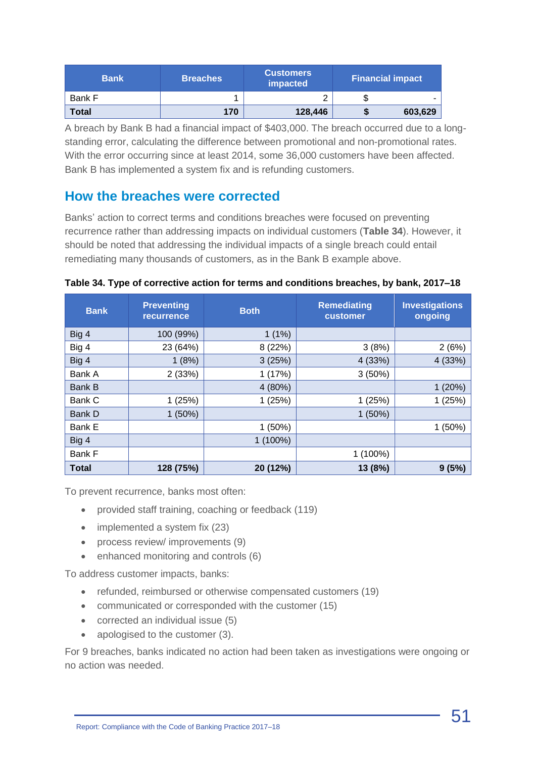| <b>Bank</b> | <b>Breaches</b> | <b>Customers</b><br>impacted | <b>Financial impact</b> |         |
|-------------|-----------------|------------------------------|-------------------------|---------|
| Bank F      |                 |                              | ъD                      |         |
| Total       | 170             | 128,446                      |                         | 603,629 |

A breach by Bank B had a financial impact of \$403,000. The breach occurred due to a longstanding error, calculating the difference between promotional and non-promotional rates. With the error occurring since at least 2014, some 36,000 customers have been affected. Bank B has implemented a system fix and is refunding customers.

#### **How the breaches were corrected**

Banks' action to correct terms and conditions breaches were focused on preventing recurrence rather than addressing impacts on individual customers (**Table 34**). However, it should be noted that addressing the individual impacts of a single breach could entail remediating many thousands of customers, as in the Bank B example above.

|  |  | Table 34. Type of corrective action for terms and conditions breaches, by bank, 2017-18 |  |  |
|--|--|-----------------------------------------------------------------------------------------|--|--|
|  |  |                                                                                         |  |  |

| <b>Bank</b>   | <b>Preventing</b><br><b>recurrence</b> | <b>Both</b> | <b>Remediating</b><br>customer | <b>Investigations</b><br>ongoing |
|---------------|----------------------------------------|-------------|--------------------------------|----------------------------------|
| Big 4         | 100 (99%)                              | 1(1%)       |                                |                                  |
| Big 4         | 23 (64%)                               | 8 (22%)     | 3(8%)                          | 2(6%)                            |
| Big 4         | 1(8%)                                  | 3(25%)      | 4 (33%)                        | 4(33%)                           |
| Bank A        | 2(33%)                                 | 1(17%)      | 3(50%)                         |                                  |
| <b>Bank B</b> |                                        | 4 (80%)     |                                | 1(20%)                           |
| Bank C        | 1(25%)                                 | 1(25%)      | 1(25%)                         | 1(25%)                           |
| Bank D        | $1(50\%)$                              |             | 1(50%)                         |                                  |
| Bank E        |                                        | $1(50\%)$   |                                | 1(50%)                           |
| Big 4         |                                        | $1(100\%)$  |                                |                                  |
| Bank F        |                                        |             | $1(100\%)$                     |                                  |
| <b>Total</b>  | 128 (75%)                              | 20 (12%)    | 13 (8%)                        | 9(5%)                            |

To prevent recurrence, banks most often:

- provided staff training, coaching or feedback (119)
- implemented a system fix (23)
- process review/ improvements (9)
- enhanced monitoring and controls (6)

To address customer impacts, banks:

- refunded, reimbursed or otherwise compensated customers (19)
- communicated or corresponded with the customer (15)
- corrected an individual issue (5)
- apologised to the customer (3).

For 9 breaches, banks indicated no action had been taken as investigations were ongoing or no action was needed.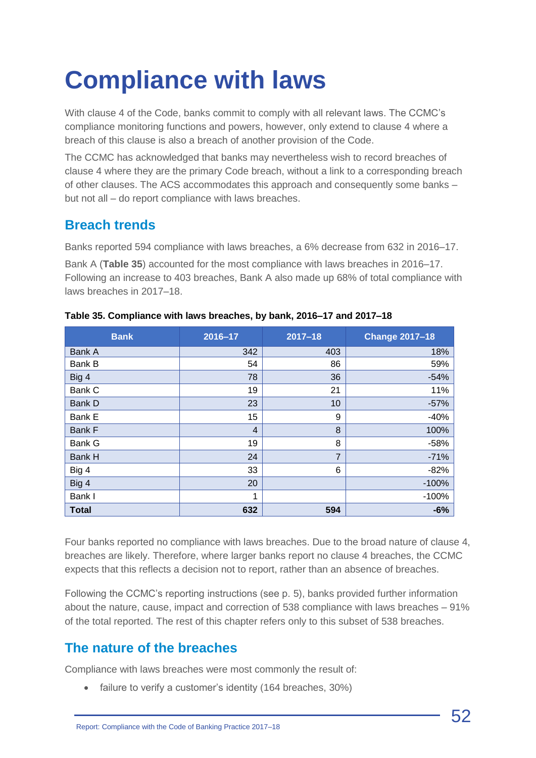## <span id="page-51-0"></span>**Compliance with laws**

With clause 4 of the Code, banks commit to comply with all relevant laws. The CCMC's compliance monitoring functions and powers, however, only extend to clause 4 where a breach of this clause is also a breach of another provision of the Code.

The CCMC has acknowledged that banks may nevertheless wish to record breaches of clause 4 where they are the primary Code breach, without a link to a corresponding breach of other clauses. The ACS accommodates this approach and consequently some banks – but not all – do report compliance with laws breaches.

### **Breach trends**

Banks reported 594 compliance with laws breaches, a 6% decrease from 632 in 2016–17. Bank A (**Table 35**) accounted for the most compliance with laws breaches in 2016–17. Following an increase to 403 breaches, Bank A also made up 68% of total compliance with laws breaches in 2017–18.

| <b>Bank</b>   | 2016-17        | $2017 - 18$ | <b>Change 2017-18</b> |
|---------------|----------------|-------------|-----------------------|
| Bank A        | 342            | 403         | 18%                   |
| Bank B        | 54             | 86          | 59%                   |
| Big 4         | 78             | 36          | $-54%$                |
| Bank C        | 19             | 21          | 11%                   |
| Bank D        | 23             | 10          | $-57%$                |
| Bank E        | 15             | 9           | $-40%$                |
| Bank F        | $\overline{4}$ | 8           | 100%                  |
| <b>Bank G</b> | 19             | 8           | $-58%$                |
| Bank H        | 24             | 7           | $-71%$                |
| Big 4         | 33             | 6           | $-82%$                |
| Big 4         | 20             |             | $-100%$               |
| Bank I        | 1              |             | $-100%$               |
| <b>Total</b>  | 632            | 594         | $-6%$                 |

**Table 35. Compliance with laws breaches, by bank, 2016–17 and 2017–18**

Four banks reported no compliance with laws breaches. Due to the broad nature of clause 4, breaches are likely. Therefore, where larger banks report no clause 4 breaches, the CCMC expects that this reflects a decision not to report, rather than an absence of breaches.

Following the CCMC's reporting instructions (see p. 5), banks provided further information about the nature, cause, impact and correction of 538 compliance with laws breaches – 91% of the total reported. The rest of this chapter refers only to this subset of 538 breaches.

## **The nature of the breaches**

Compliance with laws breaches were most commonly the result of:

• failure to verify a customer's identity (164 breaches, 30%)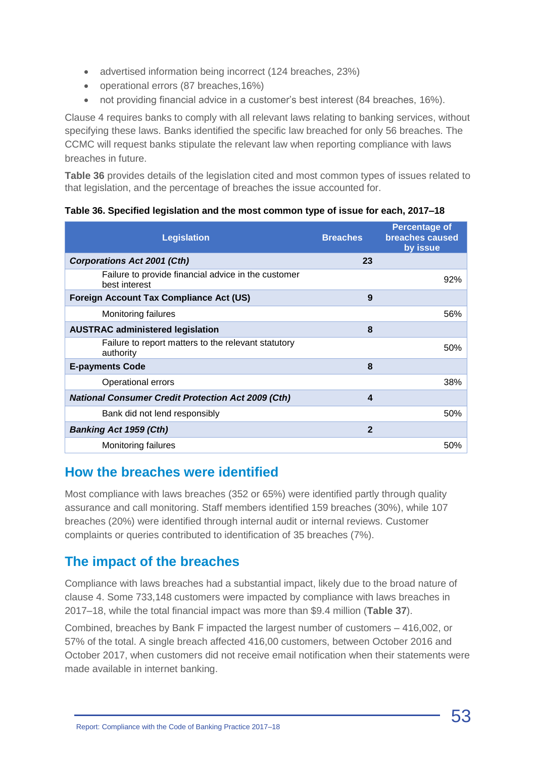- advertised information being incorrect (124 breaches, 23%)
- operational errors (87 breaches,16%)
- not providing financial advice in a customer's best interest (84 breaches, 16%).

Clause 4 requires banks to comply with all relevant laws relating to banking services, without specifying these laws. Banks identified the specific law breached for only 56 breaches. The CCMC will request banks stipulate the relevant law when reporting compliance with laws breaches in future.

**Table 36** provides details of the legislation cited and most common types of issues related to that legislation, and the percentage of breaches the issue accounted for.

| <b>Legislation</b>                                                   | <b>Breaches</b> | <b>Percentage of</b><br>breaches caused<br>by issue |
|----------------------------------------------------------------------|-----------------|-----------------------------------------------------|
| <b>Corporations Act 2001 (Cth)</b>                                   | 23              |                                                     |
| Failure to provide financial advice in the customer<br>best interest |                 | 92%                                                 |
| <b>Foreign Account Tax Compliance Act (US)</b>                       | 9               |                                                     |
| Monitoring failures                                                  |                 | 56%                                                 |
| <b>AUSTRAC administered legislation</b>                              | 8               |                                                     |
| Failure to report matters to the relevant statutory<br>authority     |                 | 50%                                                 |
| <b>E-payments Code</b>                                               | 8               |                                                     |
| Operational errors                                                   |                 | 38%                                                 |
| <b>National Consumer Credit Protection Act 2009 (Cth)</b>            | 4               |                                                     |
| Bank did not lend responsibly                                        |                 | 50%                                                 |
| <b>Banking Act 1959 (Cth)</b>                                        | $\overline{2}$  |                                                     |
| Monitoring failures                                                  |                 | 50%                                                 |

#### **Table 36. Specified legislation and the most common type of issue for each, 2017–18**

#### **How the breaches were identified**

Most compliance with laws breaches (352 or 65%) were identified partly through quality assurance and call monitoring. Staff members identified 159 breaches (30%), while 107 breaches (20%) were identified through internal audit or internal reviews. Customer complaints or queries contributed to identification of 35 breaches (7%).

### **The impact of the breaches**

Compliance with laws breaches had a substantial impact, likely due to the broad nature of clause 4. Some 733,148 customers were impacted by compliance with laws breaches in 2017–18, while the total financial impact was more than \$9.4 million (**Table 37**).

Combined, breaches by Bank F impacted the largest number of customers – 416,002, or 57% of the total. A single breach affected 416,00 customers, between October 2016 and October 2017, when customers did not receive email notification when their statements were made available in internet banking.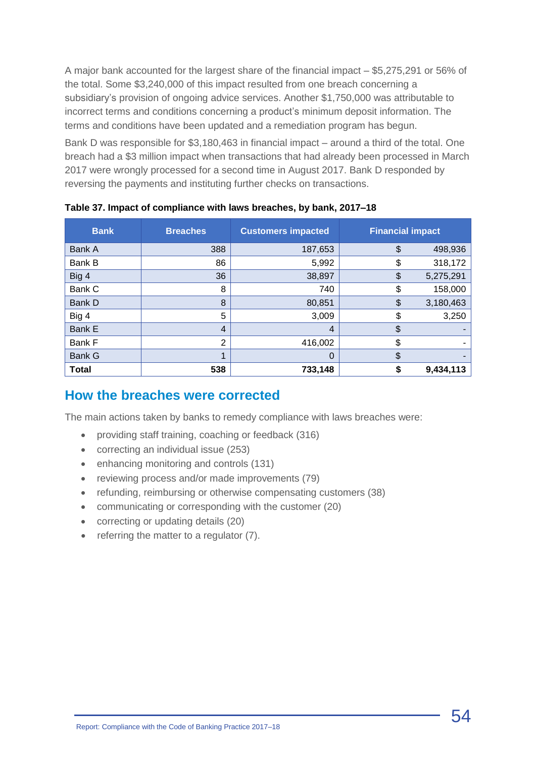A major bank accounted for the largest share of the financial impact – \$5,275,291 or 56% of the total. Some \$3,240,000 of this impact resulted from one breach concerning a subsidiary's provision of ongoing advice services. Another \$1,750,000 was attributable to incorrect terms and conditions concerning a product's minimum deposit information. The terms and conditions have been updated and a remediation program has begun.

Bank D was responsible for \$3,180,463 in financial impact – around a third of the total. One breach had a \$3 million impact when transactions that had already been processed in March 2017 were wrongly processed for a second time in August 2017. Bank D responded by reversing the payments and instituting further checks on transactions.

| <b>Bank</b>   | <b>Breaches</b> | <b>Customers impacted</b> | <b>Financial impact</b> |
|---------------|-----------------|---------------------------|-------------------------|
| Bank A        | 388             | 187,653                   | \$<br>498,936           |
| Bank B        | 86              | 5,992                     | 318,172<br>\$           |
| Big 4         | 36              | 38,897                    | 5,275,291<br>\$         |
| Bank C        | 8               | 740                       | 158,000<br>\$           |
| Bank D        | 8               | 80,851                    | 3,180,463<br>\$         |
| Big 4         | 5               | 3,009                     | \$<br>3,250             |
| <b>Bank E</b> | $\overline{4}$  | 4                         | \$                      |
| Bank F        | 2               | 416,002                   | \$                      |
| <b>Bank G</b> |                 | 0                         | \$                      |
| <b>Total</b>  | 538             | 733,148                   | 9,434,113               |

**Table 37. Impact of compliance with laws breaches, by bank, 2017–18**

#### **How the breaches were corrected**

The main actions taken by banks to remedy compliance with laws breaches were:

- providing staff training, coaching or feedback (316)
- correcting an individual issue (253)
- enhancing monitoring and controls (131)
- reviewing process and/or made improvements (79)
- refunding, reimbursing or otherwise compensating customers (38)
- communicating or corresponding with the customer (20)
- correcting or updating details (20)
- referring the matter to a regulator (7).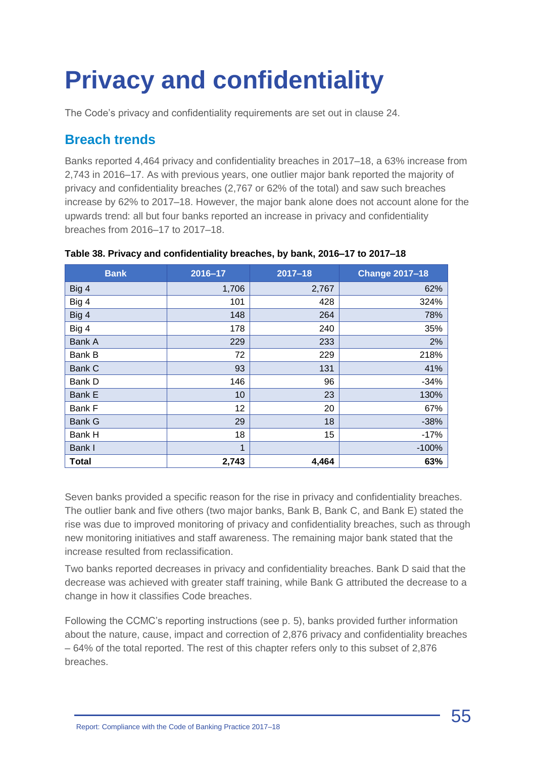# <span id="page-54-0"></span>**Privacy and confidentiality**

The Code's privacy and confidentiality requirements are set out in clause 24.

### **Breach trends**

Banks reported 4,464 privacy and confidentiality breaches in 2017–18, a 63% increase from 2,743 in 2016–17. As with previous years, one outlier major bank reported the majority of privacy and confidentiality breaches (2,767 or 62% of the total) and saw such breaches increase by 62% to 2017–18. However, the major bank alone does not account alone for the upwards trend: all but four banks reported an increase in privacy and confidentiality breaches from 2016–17 to 2017–18.

| <b>Bank</b>   | 2016-17 | $2017 - 18$ | <b>Change 2017-18</b> |
|---------------|---------|-------------|-----------------------|
| Big 4         | 1,706   | 2,767       | 62%                   |
| Big 4         | 101     | 428         | 324%                  |
| Big 4         | 148     | 264         | 78%                   |
| Big 4         | 178     | 240         | 35%                   |
| Bank A        | 229     | 233         | 2%                    |
| Bank B        | 72      | 229         | 218%                  |
| <b>Bank C</b> | 93      | 131         | 41%                   |
| Bank D        | 146     | 96          | $-34%$                |
| <b>Bank E</b> | 10      | 23          | 130%                  |
| Bank F        | 12      | 20          | 67%                   |
| <b>Bank G</b> | 29      | 18          | $-38%$                |
| Bank H        | 18      | 15          | $-17%$                |
| Bank I        | 1       |             | $-100%$               |
| <b>Total</b>  | 2,743   | 4,464       | 63%                   |

#### **Table 38. Privacy and confidentiality breaches, by bank, 2016–17 to 2017–18**

Seven banks provided a specific reason for the rise in privacy and confidentiality breaches. The outlier bank and five others (two major banks, Bank B, Bank C, and Bank E) stated the rise was due to improved monitoring of privacy and confidentiality breaches, such as through new monitoring initiatives and staff awareness. The remaining major bank stated that the increase resulted from reclassification.

Two banks reported decreases in privacy and confidentiality breaches. Bank D said that the decrease was achieved with greater staff training, while Bank G attributed the decrease to a change in how it classifies Code breaches.

Following the CCMC's reporting instructions (see p. 5), banks provided further information about the nature, cause, impact and correction of 2,876 privacy and confidentiality breaches – 64% of the total reported. The rest of this chapter refers only to this subset of 2,876 breaches.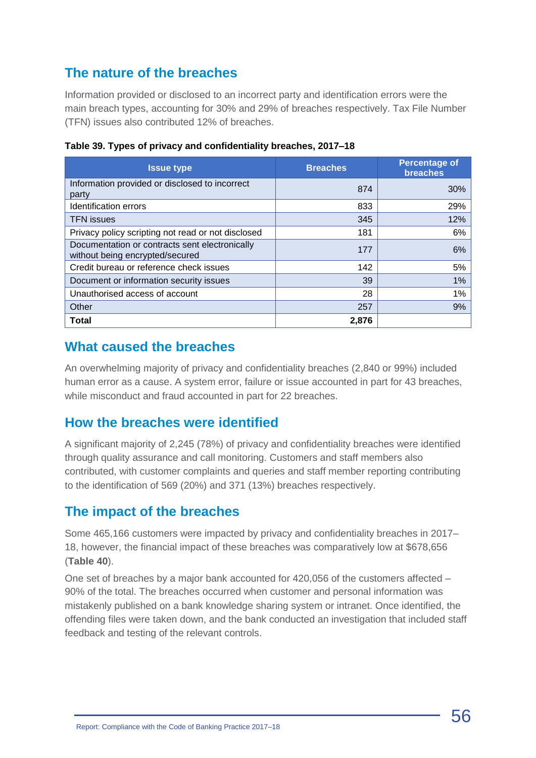## **The nature of the breaches**

Information provided or disclosed to an incorrect party and identification errors were the main breach types, accounting for 30% and 29% of breaches respectively. Tax File Number (TFN) issues also contributed 12% of breaches.

| <b>Issue type</b>                                                                 | <b>Breaches</b> | <b>Percentage of</b><br>breaches |
|-----------------------------------------------------------------------------------|-----------------|----------------------------------|
| Information provided or disclosed to incorrect<br>party                           | 874             | 30%                              |
| Identification errors                                                             | 833             | 29%                              |
| <b>TFN</b> issues                                                                 | 345             | 12%                              |
| Privacy policy scripting not read or not disclosed                                | 181             | 6%                               |
| Documentation or contracts sent electronically<br>without being encrypted/secured | 177             | 6%                               |
| Credit bureau or reference check issues                                           | 142             | 5%                               |
| Document or information security issues                                           | 39              | 1%                               |
| Unauthorised access of account                                                    | 28              | 1%                               |
| Other                                                                             | 257             | 9%                               |
| <b>Total</b>                                                                      | 2,876           |                                  |

**Table 39. Types of privacy and confidentiality breaches, 2017–18**

#### **What caused the breaches**

An overwhelming majority of privacy and confidentiality breaches (2,840 or 99%) included human error as a cause. A system error, failure or issue accounted in part for 43 breaches, while misconduct and fraud accounted in part for 22 breaches.

#### **How the breaches were identified**

A significant majority of 2,245 (78%) of privacy and confidentiality breaches were identified through quality assurance and call monitoring. Customers and staff members also contributed, with customer complaints and queries and staff member reporting contributing to the identification of 569 (20%) and 371 (13%) breaches respectively.

#### **The impact of the breaches**

Some 465,166 customers were impacted by privacy and confidentiality breaches in 2017– 18, however, the financial impact of these breaches was comparatively low at \$678,656 (**Table 40**).

One set of breaches by a major bank accounted for 420,056 of the customers affected – 90% of the total. The breaches occurred when customer and personal information was mistakenly published on a bank knowledge sharing system or intranet. Once identified, the offending files were taken down, and the bank conducted an investigation that included staff feedback and testing of the relevant controls.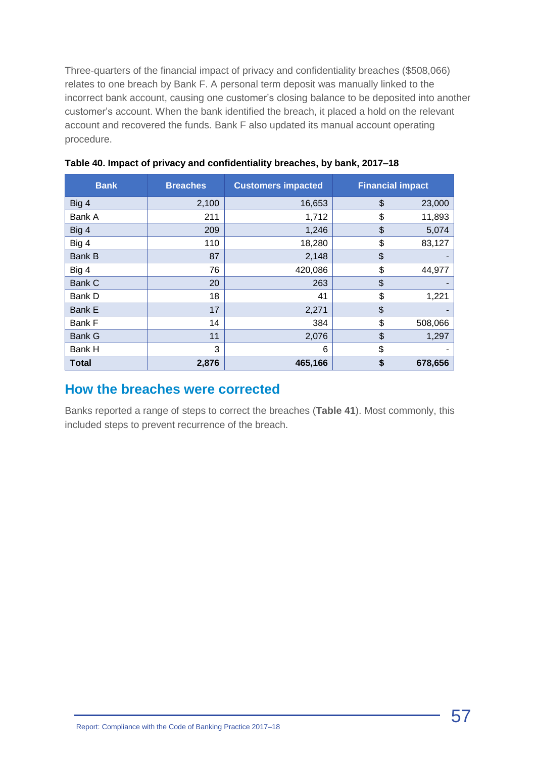Three-quarters of the financial impact of privacy and confidentiality breaches (\$508,066) relates to one breach by Bank F. A personal term deposit was manually linked to the incorrect bank account, causing one customer's closing balance to be deposited into another customer's account. When the bank identified the breach, it placed a hold on the relevant account and recovered the funds. Bank F also updated its manual account operating procedure.

| <b>Bank</b>   | <b>Breaches</b> | <b>Customers impacted</b> |               | <b>Financial impact</b> |
|---------------|-----------------|---------------------------|---------------|-------------------------|
| Big 4         | 2,100           | 16,653                    | \$            | 23,000                  |
| Bank A        | 211             | 1,712                     | \$            | 11,893                  |
| Big 4         | 209             | 1,246                     | \$            | 5,074                   |
| Big 4         | 110             | 18,280                    | \$            | 83,127                  |
| <b>Bank B</b> | 87              | 2,148                     | $\frac{1}{2}$ |                         |
| Big 4         | 76              | 420,086                   | \$            | 44,977                  |
| Bank C        | 20              | 263                       | $\frac{1}{2}$ |                         |
| Bank D        | 18              | 41                        | \$            | 1,221                   |
| Bank E        | 17              | 2,271                     | \$            |                         |
| Bank F        | 14              | 384                       | \$            | 508,066                 |
| <b>Bank G</b> | 11              | 2,076                     | \$            | 1,297                   |
| Bank H        | 3               | 6                         | \$            |                         |
| <b>Total</b>  | 2,876           | 465,166                   | \$            | 678,656                 |

|  | Table 40. Impact of privacy and confidentiality breaches, by bank, 2017–18 |  |  |
|--|----------------------------------------------------------------------------|--|--|
|  |                                                                            |  |  |

#### **How the breaches were corrected**

Banks reported a range of steps to correct the breaches (**Table 41**). Most commonly, this included steps to prevent recurrence of the breach.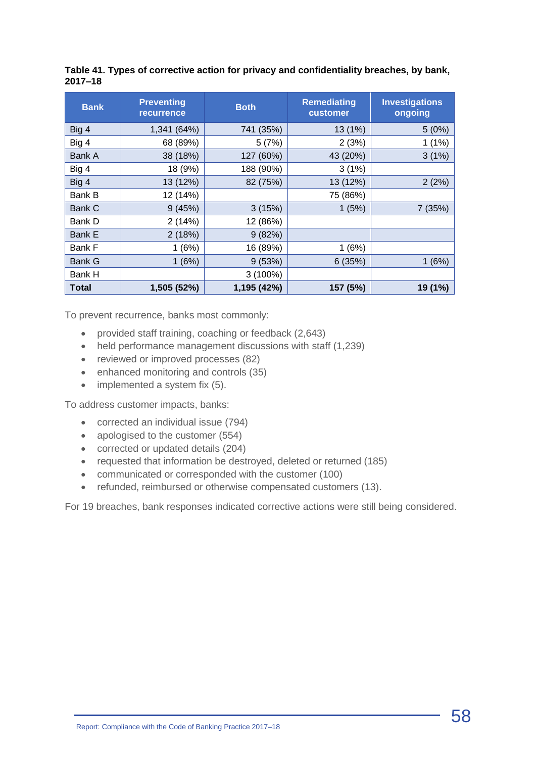|         | Table 41. Types of corrective action for privacy and confidentiality breaches, by bank, |  |  |
|---------|-----------------------------------------------------------------------------------------|--|--|
| 2017–18 |                                                                                         |  |  |

| <b>Bank</b>   | <b>Preventing</b><br><b>recurrence</b> | <b>Both</b> | <b>Remediating</b><br>customer | <b>Investigations</b><br>ongoing |
|---------------|----------------------------------------|-------------|--------------------------------|----------------------------------|
| Big 4         | 1,341 (64%)                            | 741 (35%)   | 13 (1%)                        | 5(0%)                            |
| Big 4         | 68 (89%)                               | 5(7%)       | 2(3%)                          | 1(1%)                            |
| Bank A        | 38 (18%)                               | 127 (60%)   | 43 (20%)                       | 3(1%)                            |
| Big 4         | 18 (9%)                                | 188 (90%)   | 3(1%)                          |                                  |
| Big 4         | 13 (12%)                               | 82 (75%)    | 13 (12%)                       | 2(2%)                            |
| Bank B        | 12 (14%)                               |             | 75 (86%)                       |                                  |
| <b>Bank C</b> | 9(45%)                                 | 3(15%)      | 1(5%)                          | 7(35%)                           |
| Bank D        | 2(14%)                                 | 12 (86%)    |                                |                                  |
| <b>Bank E</b> | 2(18%)                                 | 9(82%)      |                                |                                  |
| Bank F        | 1(6%)                                  | 16 (89%)    | 1(6%)                          |                                  |
| Bank G        | 1(6%)                                  | 9(53%)      | 6(35%)                         | 1(6%)                            |
| Bank H        |                                        | $3(100\%)$  |                                |                                  |
| Total         | 1,505 (52%)                            | 1,195 (42%) | 157 (5%)                       | 19 (1%)                          |

To prevent recurrence, banks most commonly:

- provided staff training, coaching or feedback (2,643)
- held performance management discussions with staff (1,239)
- reviewed or improved processes (82)
- enhanced monitoring and controls (35)
- implemented a system fix (5).

To address customer impacts, banks:

- corrected an individual issue (794)
- apologised to the customer (554)
- corrected or updated details (204)
- requested that information be destroyed, deleted or returned (185)
- communicated or corresponded with the customer (100)
- refunded, reimbursed or otherwise compensated customers (13).

For 19 breaches, bank responses indicated corrective actions were still being considered.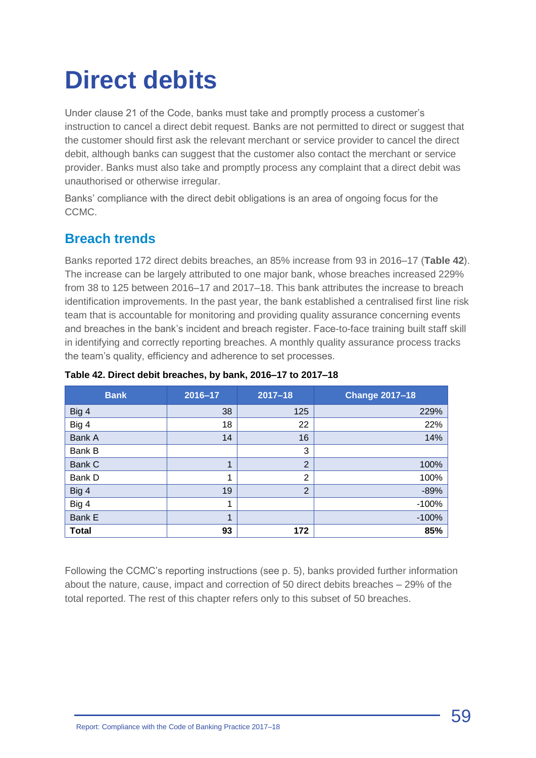## <span id="page-58-0"></span>**Direct debits**

Under clause 21 of the Code, banks must take and promptly process a customer's instruction to cancel a direct debit request. Banks are not permitted to direct or suggest that the customer should first ask the relevant merchant or service provider to cancel the direct debit, although banks can suggest that the customer also contact the merchant or service provider. Banks must also take and promptly process any complaint that a direct debit was unauthorised or otherwise irregular.

Banks' compliance with the direct debit obligations is an area of ongoing focus for the CCMC.

## **Breach trends**

Banks reported 172 direct debits breaches, an 85% increase from 93 in 2016–17 (**Table 42**). The increase can be largely attributed to one major bank, whose breaches increased 229% from 38 to 125 between 2016–17 and 2017–18. This bank attributes the increase to breach identification improvements. In the past year, the bank established a centralised first line risk team that is accountable for monitoring and providing quality assurance concerning events and breaches in the bank's incident and breach register. Face-to-face training built staff skill in identifying and correctly reporting breaches. A monthly quality assurance process tracks the team's quality, efficiency and adherence to set processes.

| <b>Bank</b>  | 2016-17 | $2017 - 18$    | <b>Change 2017-18</b> |
|--------------|---------|----------------|-----------------------|
| Big 4        | 38      | 125            | 229%                  |
| Big 4        | 18      | 22             | 22%                   |
| Bank A       | 14      | 16             | 14%                   |
| Bank B       |         | 3              |                       |
| Bank C       | 1       | $\overline{2}$ | 100%                  |
| Bank D       | 1       | $\overline{2}$ | 100%                  |
| Big 4        | 19      | $\overline{2}$ | $-89%$                |
| Big 4        | 1       |                | $-100%$               |
| Bank E       | 1       |                | $-100%$               |
| <b>Total</b> | 93      | 172            | 85%                   |

#### **Table 42. Direct debit breaches, by bank, 2016–17 to 2017–18**

Following the CCMC's reporting instructions (see p. 5), banks provided further information about the nature, cause, impact and correction of 50 direct debits breaches – 29% of the total reported. The rest of this chapter refers only to this subset of 50 breaches.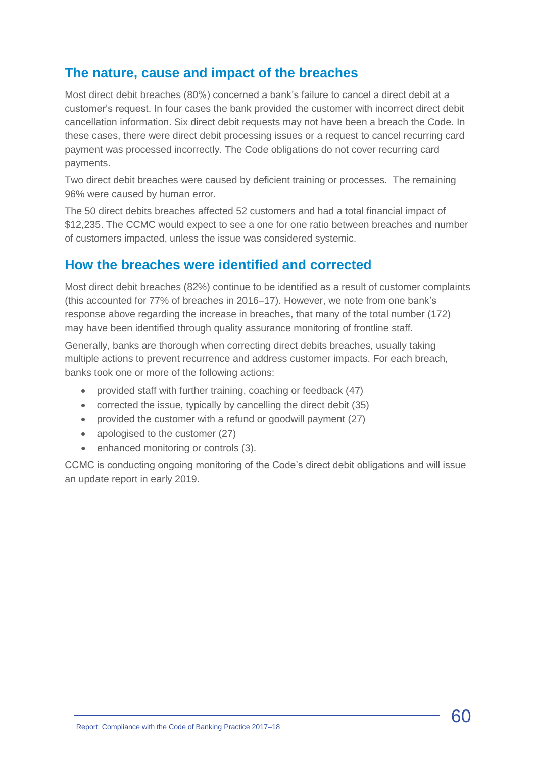#### **The nature, cause and impact of the breaches**

Most direct debit breaches (80%) concerned a bank's failure to cancel a direct debit at a customer's request. In four cases the bank provided the customer with incorrect direct debit cancellation information. Six direct debit requests may not have been a breach the Code. In these cases, there were direct debit processing issues or a request to cancel recurring card payment was processed incorrectly. The Code obligations do not cover recurring card payments.

Two direct debit breaches were caused by deficient training or processes. The remaining 96% were caused by human error.

The 50 direct debits breaches affected 52 customers and had a total financial impact of \$12,235. The CCMC would expect to see a one for one ratio between breaches and number of customers impacted, unless the issue was considered systemic.

#### **How the breaches were identified and corrected**

Most direct debit breaches (82%) continue to be identified as a result of customer complaints (this accounted for 77% of breaches in 2016–17). However, we note from one bank's response above regarding the increase in breaches, that many of the total number (172) may have been identified through quality assurance monitoring of frontline staff.

Generally, banks are thorough when correcting direct debits breaches, usually taking multiple actions to prevent recurrence and address customer impacts. For each breach, banks took one or more of the following actions:

- provided staff with further training, coaching or feedback (47)
- corrected the issue, typically by cancelling the direct debit (35)
- provided the customer with a refund or goodwill payment (27)
- apologised to the customer (27)
- enhanced monitoring or controls (3).

CCMC is conducting ongoing monitoring of the Code's direct debit obligations and will issue an update report in early 2019.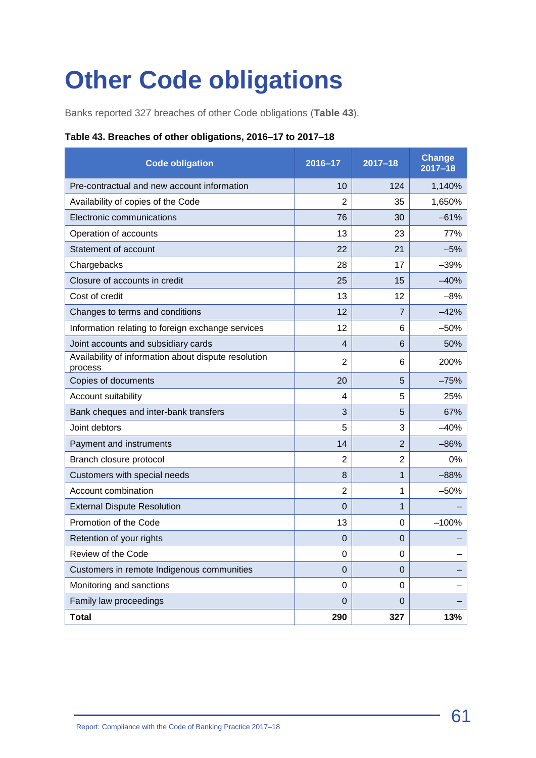## <span id="page-60-0"></span>**Other Code obligations**

Banks reported 327 breaches of other Code obligations (**Table 43**).

#### **Table 43. Breaches of other obligations, 2016–17 to 2017–18**

| <b>Code obligation</b>                                          | 2016-17        | $2017 - 18$    | <b>Change</b><br>$2017 - 18$ |
|-----------------------------------------------------------------|----------------|----------------|------------------------------|
| Pre-contractual and new account information                     | 10             | 124            | 1,140%                       |
| Availability of copies of the Code                              | $\overline{2}$ | 35             | 1,650%                       |
| Electronic communications                                       | 76             | 30             | $-61%$                       |
| Operation of accounts                                           | 13             | 23             | 77%                          |
| Statement of account                                            | 22             | 21             | $-5%$                        |
| Chargebacks                                                     | 28             | 17             | $-39%$                       |
| Closure of accounts in credit                                   | 25             | 15             | $-40%$                       |
| Cost of credit                                                  | 13             | 12             | $-8%$                        |
| Changes to terms and conditions                                 | 12             | $\overline{7}$ | $-42%$                       |
| Information relating to foreign exchange services               | 12             | 6              | $-50%$                       |
| Joint accounts and subsidiary cards                             | $\overline{4}$ | 6              | 50%                          |
| Availability of information about dispute resolution<br>process | $\overline{2}$ | 6              | 200%                         |
| Copies of documents                                             | 20             | 5              | $-75%$                       |
| Account suitability                                             | 4              | 5              | 25%                          |
| Bank cheques and inter-bank transfers                           | 3              | 5              | 67%                          |
| Joint debtors                                                   | 5              | 3              | $-40%$                       |
| Payment and instruments                                         | 14             | $\overline{2}$ | $-86%$                       |
| Branch closure protocol                                         | $\overline{2}$ | $\overline{2}$ | 0%                           |
| Customers with special needs                                    | 8              | $\mathbf{1}$   | $-88%$                       |
| Account combination                                             | $\overline{2}$ | 1              | $-50%$                       |
| <b>External Dispute Resolution</b>                              | $\Omega$       | $\mathbf{1}$   |                              |
| Promotion of the Code                                           | 13             | 0              | $-100%$                      |
| Retention of your rights                                        | $\mathbf 0$    | $\mathbf 0$    |                              |
| Review of the Code                                              | 0              | 0              |                              |
| Customers in remote Indigenous communities                      | $\mathbf 0$    | 0              |                              |
| Monitoring and sanctions                                        | 0              | 0              |                              |
| Family law proceedings                                          | $\pmb{0}$      | $\mathbf{0}$   |                              |
| <b>Total</b>                                                    | 290            | 327            | 13%                          |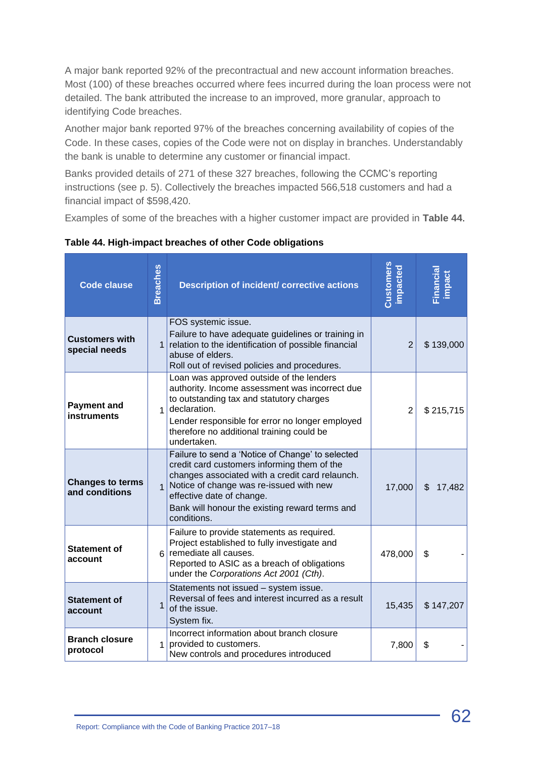A major bank reported 92% of the precontractual and new account information breaches. Most (100) of these breaches occurred where fees incurred during the loan process were not detailed. The bank attributed the increase to an improved, more granular, approach to identifying Code breaches.

Another major bank reported 97% of the breaches concerning availability of copies of the Code. In these cases, copies of the Code were not on display in branches. Understandably the bank is unable to determine any customer or financial impact.

Banks provided details of 271 of these 327 breaches, following the CCMC's reporting instructions (see p. 5). Collectively the breaches impacted 566,518 customers and had a financial impact of \$598,420.

Examples of some of the breaches with a higher customer impact are provided in **Table 44**.

**Table 44. High-impact breaches of other Code obligations**

| <b>Code clause</b>                        | <b>Breaches</b> | <b>Description of incident/ corrective actions</b>                                                                                                                                                                                                                                          | Customers<br><b>impacted</b> | inancial<br>impact |
|-------------------------------------------|-----------------|---------------------------------------------------------------------------------------------------------------------------------------------------------------------------------------------------------------------------------------------------------------------------------------------|------------------------------|--------------------|
| <b>Customers with</b><br>special needs    | $\mathbf{1}$    | FOS systemic issue.<br>Failure to have adequate guidelines or training in<br>relation to the identification of possible financial<br>abuse of elders.<br>Roll out of revised policies and procedures.                                                                                       | $\overline{2}$               | \$139,000          |
| <b>Payment and</b><br><b>instruments</b>  | $\mathbf{1}$    | Loan was approved outside of the lenders<br>authority. Income assessment was incorrect due<br>to outstanding tax and statutory charges<br>declaration.<br>Lender responsible for error no longer employed<br>therefore no additional training could be<br>undertaken.                       | $\overline{2}$               | \$215,715          |
| <b>Changes to terms</b><br>and conditions | $\overline{1}$  | Failure to send a 'Notice of Change' to selected<br>credit card customers informing them of the<br>changes associated with a credit card relaunch.<br>Notice of change was re-issued with new<br>effective date of change.<br>Bank will honour the existing reward terms and<br>conditions. | 17,000                       | \$<br>17,482       |
| <b>Statement of</b><br>account            | 6               | Failure to provide statements as required.<br>Project established to fully investigate and<br>remediate all causes.<br>Reported to ASIC as a breach of obligations<br>under the Corporations Act 2001 (Cth).                                                                                | 478,000                      | \$                 |
| <b>Statement of</b><br>account            | 1               | Statements not issued - system issue.<br>Reversal of fees and interest incurred as a result<br>of the issue.<br>System fix.                                                                                                                                                                 | 15,435                       | \$147,207          |
| <b>Branch closure</b><br>protocol         | $\overline{1}$  | Incorrect information about branch closure<br>provided to customers.<br>New controls and procedures introduced                                                                                                                                                                              | 7,800                        | \$                 |